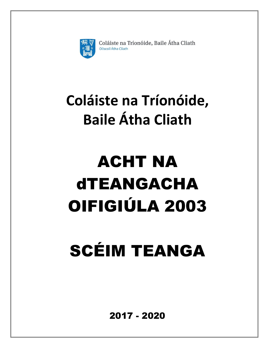

Coláiste na Tríonóide, Baile Átha Cliath Ollscoil Átha Cliath

## **Coláiste na Tríonóide, Baile Átha Cliath**

## ACHT NA dTEANGACHA OIFIGIÚLA 2003

# SCÉIM TEANGA

2017 - 2020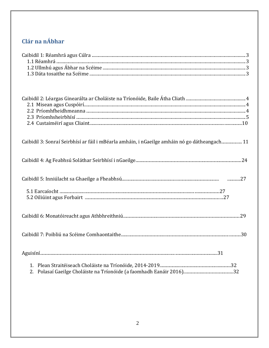## Clár na nÁbhar

| Caibidil 3: Sonraí Seirbhísí ar fáil i mBéarla amháin, i nGaeilge amháin nó go dátheangach 11 |  |
|-----------------------------------------------------------------------------------------------|--|
|                                                                                               |  |
|                                                                                               |  |
|                                                                                               |  |
|                                                                                               |  |
|                                                                                               |  |
|                                                                                               |  |
|                                                                                               |  |
|                                                                                               |  |
|                                                                                               |  |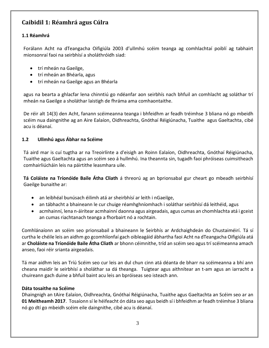## **Caibidil 1: Réamhrá agus Cúlra**

#### **1.1 Réamhrá**

Forálann Acht na dTeangacha Oifigiúla 2003 d'ullmhú scéim teanga ag comhlachtaí poiblí ag tabhairt mionsonraí faoi na seirbhísí a sholáthróidh siad:

- trí mheán na Gaeilge,
- trí mheán an Bhéarla, agus
- trí mheán na Gaeilge agus an Bhéarla

agus na bearta a ghlacfar lena chinntiú go ndéanfar aon seirbhís nach bhfuil an comhlacht ag soláthar trí mheán na Gaeilge a sholáthar laistigh de fhráma ama comhaontaithe.

De réir alt 14(3) den Acht, fanann scéimeanna teanga i bhfeidhm ar feadh tréimhse 3 bliana nó go mbeidh scéim nua daingnithe ag an Aire Ealaíon, Oidhreachta, Gnóthaí Réigiúnacha, Tuaithe agus Gaeltachta, cibé acu is déanaí.

#### **1.2 Ullmhú agus Ábhar na Scéime**

Tá aird mar is cuí tugtha ar na Treoirlínte a d'eisigh an Roinn Ealaíon, Oidhreachta, Gnóthaí Réigiúnacha, Tuaithe agus Gaeltachta agus an scéim seo á hullmhú. Ina theannta sin, tugadh faoi phróiseas cuimsitheach comhairliúcháin leis na páirtithe leasmhara uile.

**Tá Coláiste na Tríonóide Baile Átha Cliath** á threorú ag an bprionsabal gur cheart go mbeadh seirbhísí Gaeilge bunaithe ar:

- an leibhéal bunúsach éilimh atá ar sheirbhísí ar leith i nGaeilge,
- an tábhacht a bhaineann le cur chuige réamhghníomhach i soláthar seirbhísí dá leithéid, agus
- acmhainní, lena n-áirítear acmhainní daonna agus airgeadais, agus cumas an chomhlachta atá i gceist an cumas riachtanach teanga a fhorbairt nó a rochtain.

Comhlánaíonn an scéim seo prionsabail a bhaineann le Seirbhís ar Ardchaighdeán do Chustaiméirí. Tá sí curtha le chéile leis an aidhm go gcomhlíonfaí gach oibleagáid ábhartha faoi Acht na dTeangacha Oifigiúla atá ar **Choláiste na Tríonóide Baile Átha Cliath** ar bhonn céimnithe, tríd an scéim seo agus trí scéimeanna amach anseo, faoi réir srianta airgeadais.

Tá mar aidhm leis an Tríú Scéim seo cur leis an dul chun cinn atá déanta de bharr na scéimeanna a bhí ann cheana maidir le seirbhísí a sholáthar sa dá theanga. Tuigtear agus aithnítear an t-am agus an iarracht a chuireann gach duine a bhfuil baint acu leis an bpróiseas seo isteach ann.

#### **Dáta tosaithe na Scéime**

Dhaingnigh an tAire Ealaíon, Oidhreachta, Gnóthaí Réigiúnacha, Tuaithe agus Gaeltachta an Scéim seo ar an **01 Meitheamh 2017**. Tosaíonn sí le héifeacht ón dáta seo agus beidh sí i bhfeidhm ar feadh tréimhse 3 bliana nó go dtí go mbeidh scéim eile daingnithe, cibé acu is déanaí.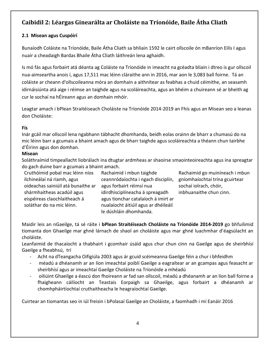## **Caibidil 2: Léargas Ginearálta ar Choláiste na Tríonóide, Baile Átha Cliath**

#### **2.1 Misean agus Cuspóirí**

Bunaíodh Coláiste na Tríonóide, Baile Átha Cliath sa bhliain 1592 le cairt ollscoile ón mBanríon Eilís I agus nuair a cheadaigh Bardas Bhaile Átha Cliath láithreán lena aghaidh.

Is mó fás agus forbairt atá déanta ag Coláiste na Tríonóide in imeacht na gcéadta bliain i dtreo is gur ollscoil nua-aimseartha anois í, agus 17,511 mac léinn cláraithe ann in 2016, mar aon le 3,083 ball foirne. Tá an coláiste ar cheann d'ollscoileanna móra an domhain a aithnítear as feabhas a chuid céimithe, an seasamh idirnáisiúnta atá aige i réimse an taighde agus na scoláireachta, agus an bhéim a chuireann sé ar bheith ag cur le sochaí na hÉireann agus an domhain mhóir.

Leagtar amach i bPlean Straitéiseach Choláiste na Tríonóide 2014-2019 an Fhís agus an Misean seo a leanas don Choláiste:

#### **Fís**

Inár gcáil mar ollscoil lena ngabhann tábhacht dhomhanda, beidh eolas orainn de bharr a chumasú do na mic léinn barr a gcumais a bhaint amach agus de bharr taighde agus scoláireachta a théann chun tairbhe d'Éirinn agus don domhan.

#### **Misean**

Soláthraímid timpeallacht liobrálach ina dtugtar ardmheas ar shaoirse smaointeoireachta agus ina spreagtar do gach duine barr a gcumais a bhaint amach.

Cruthóimid pobal mac léinn níos ilchineálaí ná riamh, agus oideachas sainiúil atá bunaithe ar shármhaitheas acadúil agus eispéireas claochlaitheach á soláthar do na mic léinn.

Rachaimid i mbun taighde ceannródaíochta i ngach disciplín, agus forbairt réimsí nua idirdhisciplíneacha á spreagadh agus tionchar catalaíoch á imirt ar nualaíocht áitiúil agus ar dhéileáil le dúshláin dhomhanda.

Rachaimid go muiníneach i mbun gníomhaíochtaí trína gcuirtear sochaí iolrach, chóir, inbhuanaithe chun cinn.

Maidir leis an nGaeilge, tá sé ráite i **bPlean Straitéiseach Choláiste na Tríonóide 2014-2019** go bhfuilimid tiomanta don Ghaeilge mar ghné lárnach de shaol an choláiste agus mar ghné luachmhar d'éagsúlacht an choláiste.

Leanfaimid de thacaíocht a thabhairt i gcomhair úsáid agus chur chun cinn na Gaeilge agus de sheirbhísí Gaeilge a fheabhsú, trí

- Acht na dTeangacha Oifigiúla 2003 agus ár gcuid scéimeanna Gaeilge féin a chur i bhfeidhm
- méadú a dhéanamh ar an líon imeachtaí poiblí Gaeilge a eagraítear ar an gcampas agus feasacht ar sheirbhísí agus ar imeachtaí Gaeilge Choláiste na Tríonóide a mhéadú
- oiliúint Ghaeilge a éascú don fhoireann ar fad san ollscoil, méadú a dhéanamh ar an líon ball foirne a fhaigheann cáilíocht an Teastais Eorpaigh sa Ghaeilge, agus forbairt a dhéanamh ar chomhpháirtíochtaí cruthaitheacha le heagraíochtaí Gaeilge.

Cuirtear an tiomantas seo in iúl freisin i bPolasaí Gaeilge an Choláiste, a faomhadh i mí Eanáir 2016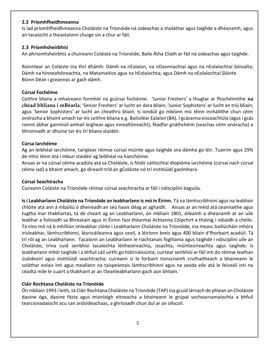#### **2.2 Príomhfheidhmeanna**

Is iad príomhfheidhmeanna Choláiste na Tríonóide ná oideachas a sholáthar agus taighde a dhéanamh, agus an tacaíocht a theastaíonn chuige sin a chur ar fáil.

#### **2.3 Príomhsheirbhísí**

An phríomhsheirbhís a chuireann Coláiste na Tríonóide, Baile Átha Cliath ar fáil ná oideachas agus taighde.

Roinntear an Coláiste ina thrí dhámh: Dámh na nEalaíon, na nDaonnachtaí agus na nEolaíochtaí Sóisialta; Dámh na hInnealtóireachta, na Matamaitice agus na hEolaíochta; agus Dámh na nEolaíochtaí Sláinte. Bíonn Déan i gceannas ar gach dámh.

#### **Cúrsaí Fochéime**

Ceithre bliana a mhaireann formhór na gcúrsaí fochéime. **'**Junior Freshers' a thugtar ar fhochéimithe **na chéad bhliana i mBéarla**; 'Senior Freshers' ar lucht an dara bliain; 'Junior Sophisters' ar lucht an tríú bliain; agus 'Senior Sophisters' ar lucht an cheathrú bliain. Is iondúil go mbíonn mic léinn incháilithe chun céim onóracha a bhaint amach tar éis ceithre bliana e.g. Baitsiléar Ealaíon (BA). I gcásanna eisceachtúla (agus i gcás roinnt ábhar gairmiúil amhail leigheas agus innealtóireacht), féadfar gnáthchéim (seachas céim onóracha) a bhronnadh ar dhuine tar éis trí bliana staidéir.

#### **Cúrsa Iarchéime**

Ag an leibhéal iarchéime, tairgtear réimse cúrsaí múinte agus taighde sna dámha go léir. Tuairim agus 29% de mhic léinn atá i mbun staidéir ag leibhéal na hiarchéime.

Anuas ar na cúrsaí céime acadúla atá sa Choláiste, is féidir cáilíochtaí dioplóma iarchéime (cúrsaí nach cúrsaí céime iad) a bhaint amach, go díreach tríd an gColáiste nó trí institiúidí gaolmhara.

#### **Cúrsaí Seachtracha**

Cuireann Coláiste na Tríonóide réimse cúrsaí seachtracha ar fáil i ndisciplíní éagsúla.

**Is í Leabharlann Choláiste na Tríonóide an leabharlann is mó in Éirinn.** Tá na lámhscríbhinní agus na leabhair chlóite atá ann á mbailiú ó dheireadh an séú haois déag ar aghaidh. Anuas ar an méid atá ceannaithe agus tugtha mar thabhartas, tá de cheart ag an Leabharlann, ón mbliain 1801, éileamh a dhéanamh ar an uile leabhar a foilsíodh sa Bhreatain agus in Éirinn faoi théarmaí Achtanna Cóipchirt a tháinig i ndiaidh a chéile. Tá níos mó ná 6 mhilliún imleabhar clóite i Leabharlann Choláiste na Tríonóide, ina measc bailiúcháin mhóra irisleabhar, lámhscríbhinní, léarscáileanna agus ceoil, a léiríonn breis agus 400 bliain d'fhorbairt acadúil. Tá trí ról ag an Leabharlann. Tacaíonn an Leabharlann le riachtanais foghlama agus taighde i ndisciplíní uile an Choláiste, trína cuid seirbhísí tacaíochta léitheoireachta, iasachta, múinteoireachta agus taighde; is leabharlann mhór taighde í a bhfuil cáil uirthi go hidirnáisiúnta; cuirtear seirbhísí ar fáil inti do réimse leathan úsáideoirí agus institiúidí seachtracha; cuireann sí le forbairt tionscnamh cruthaitheach a bhaineann le soláthar eolais inti agus meallann na taispeántais lámhscríbhinní agus na seoda eile atá le feiceáil inti na céadta míle le cuairt a thabhairt ar an tSeanleabharlann gach aon bhliain.

#### **Cláir Rochtana Choláiste na Tríonóide**

Ón mbliain 1993 i leith, tá Cláir Rochtana Choláiste na Tríonóide (TAP) ina gcuid lárnach de phlean an Choláiste daoine óga, daoine fásta agus mionlaigh eitneacha a bhaineann le grúpaí socheacnamaíochta a bhfuil tearcionadaíocht acu san ardoideachaas, a ghríosadh chun dul ar an ollscoil.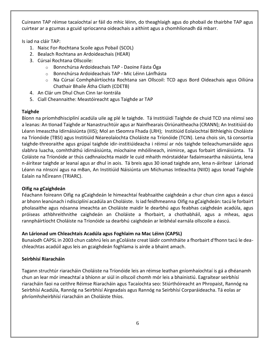Cuireann TAP réimse tacaíochtaí ar fáil do mhic léinn, do theaghlaigh agus do phobail de thairbhe TAP agus cuirtear ar a gcumas a gcuid spriocanna oideachais a aithint agus a chomhlíonadh dá mbarr.

Is iad na cláir TAP:

- 1. Naisc For-Rochtana Scoile agus Pobail (SCOL)
- 2. Bealach Rochtana an Ardoideachais (HEAR)
- 3. Cúrsaí Rochtana Ollscoile:
	- o Bonnchúrsa Ardoideachais TAP Daoine Fásta Óga
	- o Bonnchúrsa Ardoideachais TAP Mic Léinn Lánfhásta
	- o Na Cúrsaí Comhpháirtíochta Rochtana san Ollscoil: TCD agus Bord Oideachais agus Oiliúna Chathair Bhaile Átha Cliath (CDETB)
- 4. An Clár um Dhul Chun Cinn Iar-Iontrála
- 5. Ciall Cheannaithe: Meastóireacht agus Taighde ar TAP

#### **Taighde**

Bíonn na príomhdhisciplíní acadúla uile ag plé le taighde. Tá Institiúidí Taighde de chuid TCD sna réimsí seo a leanas: An tIonad Taighde ar Nanastruchtúir agus ar Nainfhearais Oiriúnaitheacha (CRANN); An Institiúid do Léann Imeasctha Idirnáisiúnta (IIIS); Mol an tSeomra Fhada (LRH); Institiúid Eolaíochtaí Bithleighis Choláiste na Tríonóide (TBSI) agus Institiúid Néareolaíochta Choláiste na Tríonóide (TCIN). Lena chois sin, tá consortia taighde-threoraithe agus grúpaí taighde idir-institiúideacha i réimsí ar nós taighde teileachumarsáide agus slabhra luacha, comhtháthú idirnáisiúnta, míochaine mhóilíneach, inimirce, agus forbairt idirnáisiúnta. Tá Coláiste na Tríonóide ar thús cadhnaíochta maidir le cuid mhaith mórstaidéar fadaimseartha náisiúnta, lena n-áirítear taighde ar leanaí agus ar dhul in aois. Tá breis agus 30 ionad taighde ann, lena n-áirítear Lárionad Léann na nInscní agus na mBan, An Institiúid Náisiúnta um Míchumas Intleachta (NIID) agus Ionad Taighde Ealaín na hÉireann (TRIARC).

#### **Oifig na gCaighdeán**

Féachann foireann Oifig na gCaighdeán le himeachtaí feabhsaithe caighdeán a chur chun cinn agus a éascú ar bhonn leanúnach i ndisciplíní acadúla an Choláiste. Is iad feidhmeanna Oifig na gCaighdeán: tacú le forbairt pholasaithe agus nósanna imeachta an Choláiste maidir le dearbhú agus feabhas caighdeán acadúla, agus próiseas athbhreithnithe caighdeán an Choláiste a fhorbairt, a chothabháil, agus a mheas, agus rannpháirtíocht Choláiste na Tríonóide sa dearbhú caighdeán ar leibhéal earnála ollscoile a éascú.

#### **An Lárionad um Chleachtais Acadúla agus Foghlaim na Mac Léinn (CAPSL)**

Bunaíodh CAPSL in 2003 chun cabhrú leis an gColáiste creat láidir comhtháite a fhorbairt d'fhonn tacú le deachleachtas acadúil agus leis an gcaighdeán foghlama is airde a bhaint amach.

#### **Seirbhísí Riaracháin**

Tagann struchtúr riaracháin Choláiste na Tríonóide leis an réimse leathan gníomhaíochtaí is gá a dhéanamh chun an lear mór imeachtaí a bhíonn ar siúl in ollscoil chomh mór leis a bhainistiú. Eagraítear seirbhísí riaracháin faoi na ceithre Réimse Riaracháin agus Tacaíochta seo: Stiúrthóireacht an Phropaist, Rannóg na Seirbhísí Acadúla, Rannóg na Seirbhísí Airgeadais agus Rannóg na Seirbhísí Corparáideacha. Tá eolas ar phríomhsheirbhísí riaracháin an Choláiste thíos.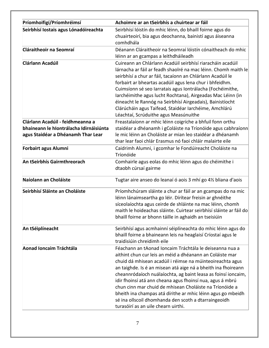| Príomhoifigí/Príomhréimsí                                                                                         | Achoimre ar an tSeirbhís a chuirtear ar fáil                                                                                                                                                                                                                                                                                                                                                                                                                                                                                                                                                             |
|-------------------------------------------------------------------------------------------------------------------|----------------------------------------------------------------------------------------------------------------------------------------------------------------------------------------------------------------------------------------------------------------------------------------------------------------------------------------------------------------------------------------------------------------------------------------------------------------------------------------------------------------------------------------------------------------------------------------------------------|
| Seirbhísí Iostais agus Lónadóireachta                                                                             | Seirbhísí lóistín do mhic léinn, do bhaill foirne agus do<br>chuairteoirí, bia agus deochanna, bainistí agus áiseanna<br>comhdhála                                                                                                                                                                                                                                                                                                                                                                                                                                                                       |
| Cláraitheoir na Seomraí                                                                                           | Déanann Cláraitheoir na Seomraí lóistín cónaitheach do mhic<br>léinn ar an gcampas a leithdháileadh                                                                                                                                                                                                                                                                                                                                                                                                                                                                                                      |
| <b>Clárlann Acadúil</b>                                                                                           | Cuireann an Chlárlann Acadúil seirbhísí riaracháin acadúil<br>lárnacha ar fáil ar feadh shaolré na mac léinn. Chomh maith le<br>seirbhísí a chur ar fáil, tacaíonn an Chlárlann Acadúil le<br>forbairt ar bheartas acadúil agus lena chur i bhfeidhm.<br>Cuimsíonn sé seo Iarratais agus Iontrálacha (Fochéimithe,<br>Iarchéimithe agus lucht Rochtana), Airgeadas Mac Léinn (in<br>éineacht le Rannóg na Seirbhísí Airgeadais), Bainistíocht<br>Clárúcháin agus Taifead, Staidéar Iarchéime, Amchlárú<br>Léachtaí, Scrúduithe agus Measúnuithe                                                          |
| Clárlann Acadúil - feidhmeanna a<br>bhaineann le hIontrálacha Idirnáisiúnta<br>agus Staidéar a Dhéanamh Thar Lear | Freastalaíonn ar mhic léinn coigríche a bhfuil fonn orthu<br>staidéar a dhéanamh i gColáiste na Tríonóide agus cabhraíonn<br>le mic léinn an Choláiste ar mian leo staidéar a dhéanamh<br>thar lear faoi chlár Erasmus nó faoi chláir malairte eile                                                                                                                                                                                                                                                                                                                                                      |
| <b>Forbairt agus Alumni</b>                                                                                       | Caidrimh Alumni, i gcomhar le Fondúireacht Choláiste na<br>Tríonóide                                                                                                                                                                                                                                                                                                                                                                                                                                                                                                                                     |
| An tSeirbhís Gairmthreorach                                                                                       | Comhairle agus eolas do mhic léinn agus do chéimithe i<br>dtaobh cúrsaí gairme                                                                                                                                                                                                                                                                                                                                                                                                                                                                                                                           |
| Naíolann an Choláiste                                                                                             | Tugtar aire anseo do leanaí ó aois 3 mhí go 4½ bliana d'aois                                                                                                                                                                                                                                                                                                                                                                                                                                                                                                                                             |
| Seirbhísí Sláinte an Choláiste                                                                                    | Príomhchúram sláinte a chur ar fáil ar an gcampas do na mic<br>léinn lánaimseartha go léir. Dírítear freisin ar ghnéithe<br>síceolaíochta agus ceirde de shláinte na mac léinn, chomh<br>maith le hoideachas sláinte. Cuirtear seirbhísí sláinte ar fáil do<br>bhaill foirne ar bhonn táille in aghaidh an tseisiúin                                                                                                                                                                                                                                                                                     |
| An tSéiplíneacht                                                                                                  | Seirbhísí agus acmhainní séiplíneachta do mhic léinn agus do<br>bhaill foirne a bhaineann leis na heaglaisí Críostaí agus le<br>traidisiúin chreidimh eile                                                                                                                                                                                                                                                                                                                                                                                                                                               |
| Aonad Ioncaim Tráchtála                                                                                           | Féachann an tAonad Ioncaim Tráchtála le deiseanna nua a<br>aithint chun cur leis an méid a dhéanann an Coláiste mar<br>chuid dá mhisean acadúil i réimse na múinteoireachta agus<br>an taighde. Is é an misean atá aige ná a bheith ina fhoireann<br>cheannródaíoch nuálaíochta, ag baint leasa as foinsí ioncaim,<br>idir fhoinsí atá ann cheana agus fhoinsí nua, agus á mbrú<br>chun cinn mar chuid de mhisean Choláiste na Tríonóide a<br>bheith ina champas atá dírithe ar mhic léinn agus go mbeidh<br>sé ina ollscoil dhomhanda den scoth a dtarraingeoidh<br>turasóirí as an uile chearn uirthi. |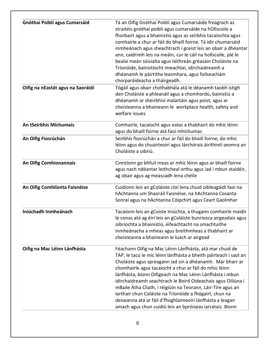| Gnóthaí Poiblí agus Cumarsáid     | Tá an Oifig Gnóthaí Poiblí agus Cumarsáide freagrach as<br>straitéis gnóthaí poiblí agus cumarsáide na hOllscoile a<br>fhorbairt agus a bhainistiú agus as seirbhís tacaíochta agus<br>comhairle a chur ar fáil do bhaill foirne. Tá idir chumarsáid<br>inmheánach agus sheachtrach i gceist leis an obair a dhéantar<br>ann, caidrimh leis na meáin, cur le cáil na hollscoile, plé le<br>bealaí meán sóisialta agus láithreán gréasáin Choláiste na<br>Tríonóide, bainistíocht imeachtaí, idirchaidreamh a<br>dhéanamh le páirtithe leasmhara, agus foilseacháin<br>chorparáideacha a tháirgeadh.                                 |
|-----------------------------------|-------------------------------------------------------------------------------------------------------------------------------------------------------------------------------------------------------------------------------------------------------------------------------------------------------------------------------------------------------------------------------------------------------------------------------------------------------------------------------------------------------------------------------------------------------------------------------------------------------------------------------------|
| Oifig na nEastát agus na Saoráidí | Tógáil agus obair chothabhála atá le déanamh taobh istigh<br>den Choláiste a phleanáil agus a chomhordú, bainistiú a<br>dhéanamh ar sheirbhísí malartáin agus poist, agus ar<br>cheisteanna a bhaineann le workplace health, safety and<br>welfare issues                                                                                                                                                                                                                                                                                                                                                                           |
| An tSeirbhís Míchumais            | Comhairle, tacaíocht agus eolas a thabhairt do mhic léinn<br>agus do bhaill foirne atá faoi mhíchumas                                                                                                                                                                                                                                                                                                                                                                                                                                                                                                                               |
| An Oifig Fiosrúchán               | Seirbhís fiosrúchán a chur ar fáil do bhaill foirne, do mhic<br>léinn agus do chuairteoirí agus lárchórais áirithintí seomra an<br>Choláiste a oibriú.                                                                                                                                                                                                                                                                                                                                                                                                                                                                              |
| An Oifig Comhionannais            | Cinntíonn go bhfuil meas ar mhic léinn agus ar bhaill foirne<br>agus nach ndéantar leithcheal orthu agus iad i mbun staidéir,<br>ag obair agus ag meascadh lena chéile                                                                                                                                                                                                                                                                                                                                                                                                                                                              |
| An Oifig Comhlíonta Faisnéise     | Cuidíonn leis an gColáiste cloí lena chuid oibleagáidí faoi na<br>hAchtanna um Shaoráil Faisnéise, na hAchtanna Cosanta<br>Sonraí agus na hAchtanna Cóipchirt agus Ceart Gaolmhar                                                                                                                                                                                                                                                                                                                                                                                                                                                   |
| Iniúchadh Inmheánach              | Tacaíonn leis an gCoiste Iniúchta, a thugann comhairle maidir<br>le conas atá ag éirí leis an gColáiste bunriosca airgeadais agus<br>oibríochta a bhainistiú, éifeachtacht na smachtuithe<br>inmheánacha a mheas agus breithmheas a thabhairt ar<br>cheisteanna a bhaineann le luach ar airgead                                                                                                                                                                                                                                                                                                                                     |
| Oifig na Mac Léinn Lánfhásta      | Féachann Oifig na Mac Léinn Lánfhásta, atá mar chuid de<br>TAP, le tacú le mic léinn lánfhásta a bheith páirteach i saol an<br>Choláiste agus spreagann iad sin a dhéanamh. Mar bharr ar<br>chomhairle agus tacaíocht a chur ar fáil do mhic léinn<br>lánfhásta, bíonn Oifigeach na Mac Léinn Lánfhásta i mbun<br>idirchaidreamh seachtrach le Boird Oideachais agus Oiliúna i<br>mBaile Átha Cliath, i réigiúin na Teorann, Láir-Tíre agus an<br>Iarthair chun Coláiste na Tríonóide a fhógairt, chun na<br>deiseanna atá ar fáil d'fhoghlaimeoirí lánfhásta a leagan<br>amach agus chun cuidiú leis an bpróiseas iarratais. Bíonn |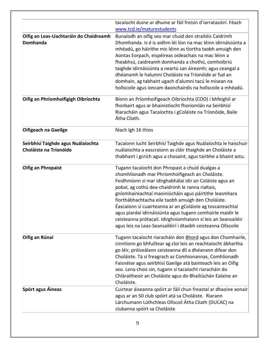|                                                                     | tacaíocht duine ar dhuine ar fáil freisin d'iarratasóirí. Féach<br>www.tcd.ie/maturestudents                                                                                                                                                                                                                                                                                                                                                                                                                                                                                                    |
|---------------------------------------------------------------------|-------------------------------------------------------------------------------------------------------------------------------------------------------------------------------------------------------------------------------------------------------------------------------------------------------------------------------------------------------------------------------------------------------------------------------------------------------------------------------------------------------------------------------------------------------------------------------------------------|
| Oifig an Leas-Uachtaráin do Chaidreamh<br><b>Domhanda</b>           | Bunaíodh an oifig seo mar chuid den straitéis Caidrimh<br>Dhomhanda. Is é is aidhm léi líon na mac léinn idirnáisiúnta a<br>mhéadú, go háirithe mic léinn as tíortha taobh amuigh den<br>Aontas Eorpach, eispéireas oideachais na mac léinn a<br>fheabhsú, caidreamh domhanda a chothú, comhoibriú<br>taighde idirnáisiúnta a neartú san áireamh; agus ceangal a<br>dhéanamh le halumni Choláiste na Tríonóide ar fud an<br>domhain, ag tabhairt ugach d'alumni tacú le misean na<br>hollscoile agus ioncam daonchairdis na hollscoile a mhéadú.                                                |
| Oifig an Phríomhoifigigh Oibríochta                                 | Bíonn an Príomhoifigeach Oibríochta (COO) i bhfeighil ar<br>fhorbairt agus ar bhainistíocht fhoriomlán na Seirbhísí<br>Riaracháin agus Tacaíochta i gColáiste na Tríonóide, Baile<br>Átha Cliath.                                                                                                                                                                                                                                                                                                                                                                                               |
| Oifigeach na Gaeilge                                                | féach Igh 16 thíos                                                                                                                                                                                                                                                                                                                                                                                                                                                                                                                                                                              |
| Seirbhísí Taighde agus Nuálaíochta<br><b>Choláiste na Tríonóide</b> | Tacaíonn lucht Seirbhísí Taighde agus Nuálaíochta le haischuir<br>nuálaíochta a eascraíonn as cláir thaighde an Choláiste a<br>thabhairt i gcrích agus a chosaint, agus tairbhe a bhaint astu.                                                                                                                                                                                                                                                                                                                                                                                                  |
| <b>Oifig an Phropaist</b>                                           | Tugann tacaíocht don Phropast a chuid dualgas a<br>chomhlíonadh mar Phríomhoifigeach an Choláiste.<br>Feidhmíonn sí mar idirghabhálaí idir an Coláiste agus an<br>pobal, ag cothú dea-chaidrimh le ranna rialtais,<br>gníomhaireachtaí maoiniúcháin agus páirtithe leasmhara<br>fíorthábhachtacha eile taobh amuigh den Choláiste.<br>Éascaíonn sí cuairteanna ar an gColáiste ag toscaireachtaí<br>agus piardaí idirnáisiúnta agus tugann comhairle maidir le<br>ceisteanna prótacail. Idirghníomhaíonn sí leis an Seansailéir<br>agus leis na Leas-Seansailéirí i dtaobh ceisteanna Ollscoile |
| Oifig an Rúnaí                                                      | Tugann tacaíocht riaracháin don Bhord agus don Chomhairle,<br>cinntíonn go bhfuiltear ag cloí leis an reachtaíocht ábhartha<br>go léir, próiseálann ceisteanna dlí a dhéanann difear don<br>Choláiste. Tá sí freagrach as Comhionannas, Comhlíonadh<br>Faisnéise agus seirbhísí Gaeilge atá bainteach leis an Oifig<br>seo. Lena chois sin, tugann sí tacaíocht riaracháin do<br>Chláraitheoir an Choláiste agus do Bhailiúchán Ealaíne an<br>Choláiste.                                                                                                                                        |
| Spórt agus Áineas                                                   | Cuirtear áiseanna spóirt ar fáil chun freastal ar dhaoine aonair<br>agus ar an 50 club spóirt atá sa Choláiste. Riarann<br>Lárchumann Lúthchleas Ollscoil Átha Cliath (DUCAC) na<br>clubanna spóirt sa Choláiste                                                                                                                                                                                                                                                                                                                                                                                |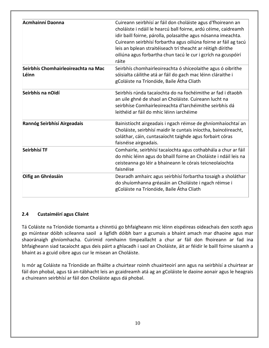| Acmhainní Daonna                             | Cuireann seirbhísí ar fáil don choláiste agus d'fhoireann an<br>choláiste i ndáil le hearcú ball foirne, ardú céime, caidreamh<br>idir baill foirne, párolla, polasaithe agus nósanna imeachta.<br>Cuireann seirbhísí forbartha agus oiliúna foirne ar fáil ag tacú<br>leis an bplean straitéiseach trí theacht ar réitigh dírithe<br>oiliúna agus forbartha chun tacú le cur i gcrích na gcuspóirí<br>ráite |
|----------------------------------------------|--------------------------------------------------------------------------------------------------------------------------------------------------------------------------------------------------------------------------------------------------------------------------------------------------------------------------------------------------------------------------------------------------------------|
| Seirbhís Chomhairleoireachta na Mac<br>Léinn | Seirbhís chomhairleoireachta ó shíceolaithe agus ó oibrithe<br>sóisialta cáilithe atá ar fáil do gach mac léinn cláraithe i<br>gColáiste na Tríonóide, Baile Átha Cliath                                                                                                                                                                                                                                     |
| Seirbhís na nOidí                            | Seirbhís rúnda tacaíochta do na fochéimithe ar fad i dtaobh<br>an uile ghné de shaol an Choláiste. Cuireann lucht na<br>seirbhíse Comhairleoireachta d'Iarchéimithe seirbhís dá<br>leithéid ar fáil do mhic léinn iarchéime                                                                                                                                                                                  |
| Rannóg Seirbhísí Airgeadais                  | Bainistíocht airgeadais i ngach réimse de ghníomhaíochtaí an<br>Choláiste, seirbhísí maidir le cuntais iníoctha, baincéireacht,<br>soláthar, cáin, cuntasaíocht taighde agus forbairt córas<br>faisnéise airgeadais.                                                                                                                                                                                         |
| Seirbhísí TF                                 | Comhairle, seirbhísí tacaíochta agus cothabhála a chur ar fáil<br>do mhic léinn agus do bhaill foirne an Choláiste i ndáil leis na<br>ceisteanna go léir a bhaineann le córais teicneolaíochta<br>faisnéise                                                                                                                                                                                                  |
| Oifig an Ghréasáin                           | Dearadh amhairc agus seirbhísí forbartha tosaigh a sholáthar<br>do shuíomhanna gréasáin an Choláiste i ngach réimse i<br>gColáiste na Tríonóide, Baile Átha Cliath                                                                                                                                                                                                                                           |

#### **2.4 Custaiméirí agus Cliaint**

Tá Coláiste na Tríonóide tiomanta a chinntiú go bhfaigheann mic léinn eispéireas oideachais den scoth agus go múintear dóibh scileanna saoil a ligfidh dóibh barr a gcumais a bhaint amach mar dhaoine agus mar shaoránaigh ghníomhacha. Cuirimid romhainn timpeallacht a chur ar fáil don fhoireann ar fad ina bhfaigheann siad tacaíocht agus deis páirt a ghlacadh i saol an Choláiste, áit ar féidir le baill foirne sásamh a bhaint as a gcuid oibre agus cur le misean an Choláiste.

Is mór ag Coláiste na Tríonóide an fháilte a chuirtear roimh chuairteoirí ann agus na seirbhísí a chuirtear ar fáil don phobal, agus tá an-tábhacht leis an gcaidreamh atá ag an gColáiste le daoine aonair agus le heagrais a chuireann seirbhísí ar fáil don Choláiste agus dá phobal.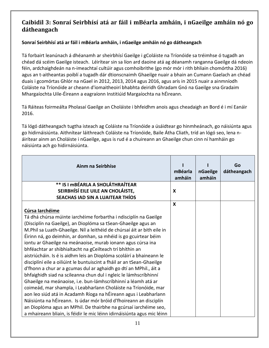## **Caibidil 3: Sonraí Seirbhísí atá ar fáil i mBéarla amháin, i nGaeilge amháin nó go dátheangach**

#### **Sonraí Seirbhísí atá ar fáil i mBéarla amháin, i nGaeilge amháin nó go dátheangach**

Tá forbairt leanúnach á dhéanamh ar sheirbhísí Gaeilge i gColáiste na Tríonóide sa tréimhse ó tugadh an chéad dá scéim Gaeilge isteach. Léirítear sin sa líon ard daoine atá ag déanamh ranganna Gaeilge dá ndeoin féin, ardchaighdeán na n-imeachtaí cultúir agus comhoibrithe (go mór mór i rith bhliain chomórtha 2016) agus an t-aitheantas poiblí a tugadh dár dtionscnaimh Ghaeilge nuair a bhain an Cumann Gaelach an chéad duais i gcomórtas Ghlór na nGael in 2012, 2013, 2014 agus 2016, agus arís in 2015 nuair a ainmníodh Coláiste na Tríonóide ar cheann d'iomaitheoirí bhabhta deiridh Ghradam Gnó na Gaeilge sna Gradaim Mhargaíochta Uile-Éireann a eagraíonn Institiúid Margaíochta na hÉireann.

Tá Ráiteas foirmeálta Pholasaí Gaeilge an Choláiste i bhfeidhm anois agus cheadaigh an Bord é i mí Eanáir 2016.

Tá lógó dátheangach tugtha isteach ag Coláiste na Tríonóide a úsáidtear go hinmheánach, go náisiúnta agus go hidirnáisiúnta. Aithnítear láithreach Coláiste na Tríonóide, Baile Átha Cliath, tríd an lógó seo, lena náirítear ainm an Choláiste i nGaeilge, agus is rud é a chuireann an Ghaeilge chun cinn ní hamháin go náisiúnta ach go hidirnáisiúnta.

| Ainm na Seirbhíse                                                       | mBéarla<br>amháin | nGaeilge<br>amháin | Go<br>dátheangach |
|-------------------------------------------------------------------------|-------------------|--------------------|-------------------|
| ** IS I MBÉARLA A SHOLÁTHRAÍTEAR                                        |                   |                    |                   |
| SEIRBHÍSÍ EILE UILE AN CHOLÁISTE,                                       | X                 |                    |                   |
| SEACHAS IAD SIN A LUAITEAR THÍOS                                        |                   |                    |                   |
|                                                                         | X                 |                    |                   |
| Cúrsa Iarchéime                                                         |                   |                    |                   |
| Tá dhá chúrsa múinte iarchéime forbartha i ndisciplín na Gaeilge        |                   |                    |                   |
| (Disciplín na Gaeilge), an Dioplóma sa tSean-Ghaeilge agus an           |                   |                    |                   |
| M.Phil sa Luath-Ghaeilge. Níl a leithéid de chúrsaí áit ar bith eile in |                   |                    |                   |
| Éirinn ná, go deimhin, ar domhan, sa mhéid is go gcuirtear béim         |                   |                    |                   |
| iontu ar Ghaeilge na meánaoise, murab ionann agus cúrsa ina             |                   |                    |                   |
| bhféachtar ar shibhialtacht na gCeilteach trí bhíthin an                |                   |                    |                   |
| aistriúcháin. Is é is aidhm leis an Dioplóma scoláirí a bhaineann le    |                   |                    |                   |
| disciplíní eile a oiliúint le buntuiscint a fháil ar an tSean-Ghaeilge  |                   |                    |                   |
| d'fhonn a chur ar a gcumas dul ar aghaidh go dtí an MPhil., áit a       |                   |                    |                   |
| bhfaighidh siad na scileanna chun dul i ngleic le lámhscríbhinní        |                   |                    |                   |
| Ghaeilge na meánaoise, i.e. bun-lámhscríbhinní a léamh atá ar           |                   |                    |                   |
| coimeád, mar shampla, i Leabharlann Choláiste na Tríonóide, mar         |                   |                    |                   |
| aon leo siúd atá in Acadamh Ríoga na hÉireann agus i Leabharlann        |                   |                    |                   |
| Náisiúnta na hÉireann. Is údar mór bróid d'fhoireann an disciplín       |                   |                    |                   |
| an Dioplóma agus an MPhil. De thairbhe na gcúrsaí iarchéime seo,        |                   |                    |                   |
| a mhaireann bliain, is féidir le mic léinn idirnáisiúnta agus mic léinn |                   |                    |                   |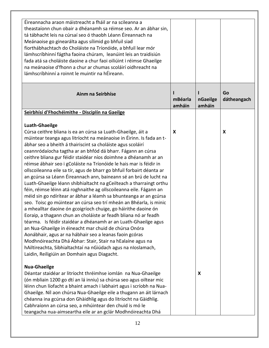| Éireannacha araon máistreacht a fháil ar na scileanna a<br>theastaíonn chun obair a dhéanamh sa réimse seo. Ar an ábhar sin,<br>tá tábhacht leis na cúrsaí seo ó thaobh Léann Éireannach na<br>Meánaoise go ginearálta agus sílimid go bhfuil siad<br>fíorthábhachtach do Choláiste na Tríonóide, a bhfuil lear mór<br>lámhscríbhinní fágtha faoina chúram, leanúint leis an traidisiún<br>fada atá sa choláiste daoine a chur faoi oiliúint i réimse Ghaeilge<br>na meánaoise d'fhonn a chur ar chumas scoláirí oidhreacht na<br>lámhscríbhinní a roinnt le muintir na hÉireann.                                                                                                                                                                                                                                                                                                                                                                                                                                                                                                                                                                                                                                                                                                                                                                                                       |                   |                    |                   |
|-----------------------------------------------------------------------------------------------------------------------------------------------------------------------------------------------------------------------------------------------------------------------------------------------------------------------------------------------------------------------------------------------------------------------------------------------------------------------------------------------------------------------------------------------------------------------------------------------------------------------------------------------------------------------------------------------------------------------------------------------------------------------------------------------------------------------------------------------------------------------------------------------------------------------------------------------------------------------------------------------------------------------------------------------------------------------------------------------------------------------------------------------------------------------------------------------------------------------------------------------------------------------------------------------------------------------------------------------------------------------------------------|-------------------|--------------------|-------------------|
| Ainm na Seirbhíse                                                                                                                                                                                                                                                                                                                                                                                                                                                                                                                                                                                                                                                                                                                                                                                                                                                                                                                                                                                                                                                                                                                                                                                                                                                                                                                                                                       | mBéarla<br>amháin | nGaeilge<br>amháin | Go<br>dátheangach |
| Seirbhísí d'Fhochéimithe - Disciplín na Gaeilge                                                                                                                                                                                                                                                                                                                                                                                                                                                                                                                                                                                                                                                                                                                                                                                                                                                                                                                                                                                                                                                                                                                                                                                                                                                                                                                                         |                   |                    |                   |
| <b>Luath-Ghaeilge</b><br>Cúrsa ceithre bliana is ea an cúrsa sa Luath-Ghaeilge, áit a<br>múintear teanga agus litríocht na meánaoise in Éirinn. Is fada an t-<br>ábhar seo a bheith á thairiscint sa choláiste agus scoláirí<br>ceannródaíocha tagtha ar an bhfód dá bharr. Fágann an cúrsa<br>ceithre bliana gur féidir staidéar níos doimhne a dhéanamh ar an<br>réimse ábhair seo i gColáiste na Tríonóide le hais mar is féidir in<br>ollscoileanna eile sa tír, agus de bharr go bhfuil forbairt déanta ar<br>an gcúrsa sa Léann Éireannach ann, baineann sé an brú de lucht na<br>Luath-Ghaeilge léann shibhialtacht na gCeilteach a tharraingt orthu<br>féin, réimse léinn atá roghnaithe ag ollscoileanna eile. Fágann an<br>méid sin go ndírítear ar ábhar a léamh sa bhunteanga ar an gcúrsa<br>seo. Toisc go múintear an cúrsa seo trí mheán an Bhéarla, is minic<br>a mhealltar daoine ón gcoigríoch chuige, go háirithe daoine ón<br>Eoraip, a thagann chun an choláiste ar feadh bliana nó ar feadh<br>téarma. Is féidir staidéar a dhéanamh ar an Luath-Ghaeilge agus<br>an Nua-Ghaeilge in éineacht mar chuid de chúrsa Onóra<br>Aonábhair, agus ar na hábhair seo a leanas faoin gcóras<br>Modhnóireachta Dhá Ábhar: Stair, Stair na hEalaíne agus na<br>hAiltireachta, Sibhialtachtaí na nGiúdach agus na nIoslamach,<br>Laidin, Reiligiúin an Domhain agus Diagacht. | X                 |                    | X                 |
| <b>Nua-Ghaeilge</b><br>Déantar staidéar ar litríocht thréimhse iomlán na Nua-Ghaeilge<br>(ón mbliain 1200 go dtí an lá inniu) sa chúrsa seo agus oiltear mic<br>léinn chun líofacht a bhaint amach i labhairt agus i scríobh na Nua-<br>Ghaeilge. Níl aon chúrsa Nua-Ghaeilge eile a thugann an áit lárnach<br>chéanna ina gcúrsa don Ghàidhlig agus do litríocht na Gàidhlig.<br>Cabhraíonn an cúrsa seo, a mhúintear den chuid is mó le<br>teangacha nua-aimseartha eile ar an gclár Modhnóireachta Dhá                                                                                                                                                                                                                                                                                                                                                                                                                                                                                                                                                                                                                                                                                                                                                                                                                                                                               |                   | X                  |                   |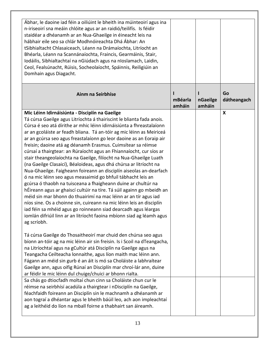| Ábhar, le daoine iad féin a oiliúint le bheith ina múinteoirí agus ina<br>n-iriseoirí sna meáin chlóite agus ar an raidió/teilifís. Is féidir<br>staidéar a dhéanamh ar an Nua-Ghaeilge in éineacht leis na<br>hábhair eile seo sa chlár Modhnóireachta Dhá Ábhar: An<br>tSibhialtacht Chlasaiceach, Léann na Drámaíochta, Litríocht an<br>Bhéarla, Léann na Scannánaíochta, Fraincis, Gearmáinis, Stair,<br>Iodáilis, Sibhialtachtaí na nGiúdach agus na nIoslamach, Laidin,<br>Ceol, Fealsúnacht, Rúisis, Socheolaíocht, Spáinnis, Reiligiúin an<br>Domhain agus Diagacht.                                                                                                                                                                                                                                                                                                                                                                                                                                                                                                                                                                                                                                          |                   |                    |                           |
|-----------------------------------------------------------------------------------------------------------------------------------------------------------------------------------------------------------------------------------------------------------------------------------------------------------------------------------------------------------------------------------------------------------------------------------------------------------------------------------------------------------------------------------------------------------------------------------------------------------------------------------------------------------------------------------------------------------------------------------------------------------------------------------------------------------------------------------------------------------------------------------------------------------------------------------------------------------------------------------------------------------------------------------------------------------------------------------------------------------------------------------------------------------------------------------------------------------------------|-------------------|--------------------|---------------------------|
| Ainm na Seirbhíse                                                                                                                                                                                                                                                                                                                                                                                                                                                                                                                                                                                                                                                                                                                                                                                                                                                                                                                                                                                                                                                                                                                                                                                                     | mBéarla<br>amháin | nGaeilge<br>amháin | Go<br>dátheangach         |
| Mic Léinn Idirnáisiúnta - Disciplín na Gaeilge<br>Tá cúrsa Gaeilge agus Litríochta á thairiscint le blianta fada anois.<br>Cúrsa é seo atá dírithe ar mhic léinn idirnáisiúnta a fhreastalaíonn<br>ar an gcoláiste ar feadh bliana. Tá an-tóir ag mic léinn as Meiriceá<br>ar an gcúrsa seo agus freastalaíonn go leor daoine as an Eoraip air<br>freisin; daoine atá ag déanamh Erasmus. Cuimsítear sa réimse<br>cúrsaí a thairgtear: an Rúraíocht agus an Fhiannaíocht, cur síos ar<br>stair theangeolaíochta na Gaeilge, filíocht na Nua-Ghaeilge Luath<br>(na Gaeilge Clasaicí), Béaloideas, agus dhá chúrsa ar litríocht na<br>Nua-Ghaeilge. Faigheann foireann an disciplín aiseolas an-dearfach<br>ó na mic léinn seo agus measaimid go bhfuil tábhacht leis an<br>gcúrsa ó thaobh na tuisceana a fhaigheann duine ar chultúr na<br>hÉireann agus ar ghaiscí cultúir na tíre. Tá súil againn go mbeidh an<br>méid sin mar bhonn do thuairimí na mac léinn ar an tír agus iad<br>níos sine. Os a choinne sin, cuireann na mic léinn leis an disciplín<br>iad féin sa mhéid agus go roinneann siad dearcadh agus léargas<br>iomlán difriúil linn ar an litríocht faoina mbíonn siad ag léamh agus<br>ag scríobh. |                   |                    | $\boldsymbol{\mathsf{X}}$ |
| Tá cúrsa Gaeilge do Thosaitheoirí mar chuid den chúrsa seo agus<br>bíonn an-tóir ag na mic léinn air sin freisin. Is i Scoil na dTeangacha,<br>na Litríochtaí agus na gCultúr atá Disciplín na Gaeilge agus na<br>Teangacha Ceilteacha lonnaithe, agus líon maith mac léinn ann.<br>Fágann an méid sin gurb é an áit is mó sa Choláiste a labhraítear<br>Gaeilge ann, agus oifig Rúnaí an Disciplín mar chroí-lár ann, duine<br>ar féidir le mic léinn dul chuige/chuici ar bhonn rialta.                                                                                                                                                                                                                                                                                                                                                                                                                                                                                                                                                                                                                                                                                                                             |                   |                    |                           |
| Sa chás go dtiocfadh moltaí chun cinn sa Choláiste chun cur le<br>réimse na seirbhísí acadúla a thairgtear i nDisciplín na Gaeilge,<br>féachfaidh foireann an Disciplín sin le machnamh a dhéanamh ar<br>aon tograí a dhéantar agus le bheith báúil leo, ach aon impleachtaí<br>ag a leithéid do líon na mball foirne a thabhairt san áireamh.                                                                                                                                                                                                                                                                                                                                                                                                                                                                                                                                                                                                                                                                                                                                                                                                                                                                        |                   |                    |                           |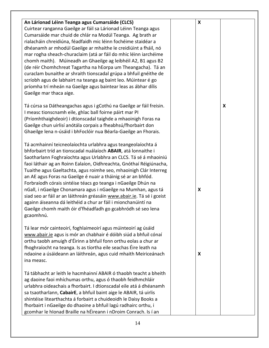| An Lárionad Léinn Teanga agus Cumarsáide (CLCS)<br>Cuirtear ranganna Gaeilge ar fáil sa Lárionad Léinn Teanga agus<br>Cumarsáide mar chuid de chlár na Modúl Teanga. Ag brath ar<br>rialacháin chreidiúna, féadfaidh mic léinn fochéime staidéar a<br>dhéanamh ar mhodúl Gaeilge ar mhaithe le creidiúint a fháil, nó<br>mar rogha sheach-churaclaim (atá ar fáil do mhic léinn iarchéime<br>chomh maith). Múineadh an Ghaeilge ag leibhéil A2, B1 agus B2<br>(de réir Chomhchreat Tagartha na hEorpa um Theangacha). Tá an<br>curaclam bunaithe ar shraith tionscadal grúpa a bhfuil gnéithe de<br>scríobh agus de labhairt na teanga ag baint leo. Múintear é go<br>príomha trí mheán na Gaeilge agus baintear leas as ábhar dílis<br>Gaeilge mar thaca aige.            | X |   |
|----------------------------------------------------------------------------------------------------------------------------------------------------------------------------------------------------------------------------------------------------------------------------------------------------------------------------------------------------------------------------------------------------------------------------------------------------------------------------------------------------------------------------------------------------------------------------------------------------------------------------------------------------------------------------------------------------------------------------------------------------------------------------|---|---|
| Tá cúrsa sa Dátheangachas agus i gCothú na Gaeilge ar fáil freisin.<br>I measc tionscnamh eile, ghlac ball foirne páirt mar PI<br>(Príomhthaighdeoir) i dtionscadal taighde a mhaoinigh Foras na<br>Gaeilge chun uirlisí anótála corpais a fheabhsú/fhorbairt don<br>Ghaeilge lena n-úsáid i bhFoclóir nua Béarla-Gaeilge an Fhorais.                                                                                                                                                                                                                                                                                                                                                                                                                                      |   | X |
| Tá acmhainní teicneolaíochta urlabhra agus teangeolaíochta á<br>bhforbairt tríd an tionscadal nuálaíoch ABAIR, atá lonnaithe i<br>Saotharlann Foghraíochta agus Urlabhra an CLCS. Tá sé á mhaoiniú<br>faoi láthair ag an Roinn Ealaíon, Oidhreachta, Gnóthaí Réigiúnacha,<br>Tuaithe agus Gaeltachta, agus roimhe seo, mhaoinigh Clár Interreg<br>an AE agus Foras na Gaeilge é nuair a tháinig sé ar an bhfód.<br>Forbraíodh córais sintéise téacs go teanga i nGaeilge Dhún na<br>nGall, i nGaeilge Chonamara agus i nGaeilge na Mumhan, agus tá<br>siad seo ar fáil ar an láithreán gréasáin www.abair.ie. Tá sé i gceist<br>againn áiseanna dá leithéid a chur ar fáil i mionchanúintí na<br>Gaeilge chomh maith óir d'fhéadfadh go gcabhródh sé seo lena<br>gcaomhnú. | X |   |
| Tá lear mór cainteoirí, foghlaimeoirí agus múinteoirí ag úsáid<br>www.abair.ie agus is mór an chabhair é dóibh siúd a bhfuil cónaí<br>orthu taobh amuigh d'Éirinn a bhfuil fonn orthu eolas a chur ar<br>fhoghraíocht na teanga. Is as tíortha eile seachas Éire leath na<br>ndaoine a úsáideann an láithreán, agus cuid mhaith Meiriceánach<br>ina measc.                                                                                                                                                                                                                                                                                                                                                                                                                 | X |   |
| Tá tábhacht ar leith le hacmhainní ABAIR ó thaobh teacht a bheith<br>ag daoine faoi mhíchumas orthu, agus ó thaobh feidhmchláir<br>urlabhra oideachais a fhorbairt. I dtionscadal eile atá á dhéanamh<br>sa tsaotharlann, CabairE, a bhfuil baint aige le ABAIR, tá uirlis<br>shintéise litearthachta á forbairt a chuideoidh le Daisy Books a<br>fhorbairt i nGaeilge do dhaoine a bhfuil lagú radhairc orthu, i<br>gcomhar le hIonad Braille na hÉireann i nDroim Conrach. Is í an                                                                                                                                                                                                                                                                                       |   |   |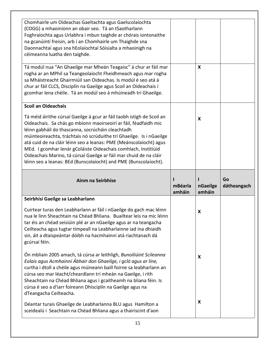| Chomhairle um Oideachas Gaeltachta agus Gaelscolaíochta<br>(COGG) a mhaoiníonn an obair seo. Tá an tSaotharlann<br>Foghraíochta agus Urlabhra i mbun taighde ar chórais iontonaithe<br>na gcanúintí freisin, arb í an Chomhairle um Thaighde sna<br>Daonnachtaí agus sna hEolaíochtaí Sóisialta a mhaoinigh na<br>céimeanna luatha den taighde.<br>Tá modúl nua "An Ghaeilge mar Mheán Teagaisc" á chur ar fáil mar<br>rogha ar an MPhil sa Teangeolaíocht Fheidhmeach agus mar rogha<br>sa Mháistreacht Ghairmiúil san Oideachas. Is modúl é seo atá á<br>chur ar fáil CLCS, Disciplín na Gaeilge agus Scoil an Oideachais i<br>gcomhar lena chéile. Tá an modúl seo á mhúineadh trí Ghaeilge. |                        | X                  |                   |
|-------------------------------------------------------------------------------------------------------------------------------------------------------------------------------------------------------------------------------------------------------------------------------------------------------------------------------------------------------------------------------------------------------------------------------------------------------------------------------------------------------------------------------------------------------------------------------------------------------------------------------------------------------------------------------------------------|------------------------|--------------------|-------------------|
|                                                                                                                                                                                                                                                                                                                                                                                                                                                                                                                                                                                                                                                                                                 |                        |                    |                   |
| <b>Scoil an Oideachais</b><br>Tá méid áirithe cúrsaí Gaeilge á gcur ar fáil taobh istigh de Scoil an<br>Oideachais. Sa chás go mbíonn maoirseoirí ar fáil, féadfaidh mic<br>léinn gabháil do thascanna, socrúcháin cleachtadh<br>múinteoireachta, tráchtais nó scrúduithe trí Ghaeilge. Is i nGaeilge<br>atá cuid de na cláir léinn seo a leanas: PME (Meánscolaíocht) agus<br>MEd. I gcomhar lenár gColáiste Oideachais comhlach, Institiúid<br>Oideachais Marino, tá cúrsaí Gaeilge ar fáil mar chuid de na cláir<br>léinn seo a leanas: BEd (Bunscolaíocht) and PME (Bunscolaíocht).                                                                                                         |                        | X                  |                   |
|                                                                                                                                                                                                                                                                                                                                                                                                                                                                                                                                                                                                                                                                                                 |                        |                    |                   |
| Ainm na Seirbhíse                                                                                                                                                                                                                                                                                                                                                                                                                                                                                                                                                                                                                                                                               | ı<br>mBéarla<br>amháin | nGaeilge<br>amháin | Go<br>dátheangach |
| Seirbhísí Gaeilge sa Leabharlann                                                                                                                                                                                                                                                                                                                                                                                                                                                                                                                                                                                                                                                                |                        |                    |                   |
| Cuirtear turas den Leabharlann ar fáil i nGaeilge do gach mac léinn<br>nua le linn Sheachtain na Chéad Bhliana. Buailtear leis na mic léinn<br>tar éis an chéad seisiúin plé ar an nGaeilge agus ar na teangacha<br>Ceilteacha agus tugtar timpeall na Leabharlainne iad ina dhiaidh<br>sin, áit a dtaispeántar dóibh na hacmhainní atá riachtanach dá<br>gcúrsaí féin.                                                                                                                                                                                                                                                                                                                         |                        | x                  |                   |
| Ón mbliain 2005 amach, tá cúrsa ar leithligh, Bunoiliúint Scileanna<br>Eolais agus Acmhainní Ábhair don Ghaeilge, i gcló agus ar líne,<br>curtha i dtoll a chéile agus múineann baill foirne sa leabharlann an<br>cúrsa seo mar léacht/cheardlann trí mheán na Gaeilge, i rith<br>Sheachtain na Chéad Bhliana agus i gcaitheamh na bliana féin. Is<br>cúrsa é seo a d'iarr foireann Dhisciplín na Gaeilge agus na<br>dTeangacha Ceilteacha.                                                                                                                                                                                                                                                     |                        | X                  |                   |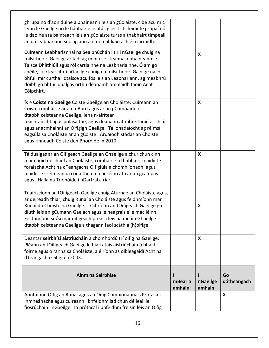| ghrúpa nó d'aon duine a bhaineann leis an gColáiste, cibé acu mic<br>léinn le Gaeilge nó le hábhair eile atá i gceist. Is féidir le grúpaí nó<br>le daoine atá bainteach leis an gColáiste turas a thabhairt timpeall<br>an dá leabharlann seo ag aon am den bhliain ach é a iarraidh.<br>Cuireann Leabharlannaí na Sealbhúchán litir i nGaeilge chuig na<br>foilsitheoirí Gaeilge ar fad, ag míniú ceisteanna a bhaineann le<br>Taisce Dhlíthiúil agus ról cartlainne na Leabharlainne. Ó am go<br>chéile, cuirtear litir i nGaeilge chuig na foilsitheoirí Gaeilge nach<br>bhfuil mír curtha i dtaisce acu fós leis an Leabharlann, ag meabhrú<br>dóibh go bhfuil dualgas orthu déanamh amhlaidh faoin Acht<br>Cóipchirt. |                   | X                         |                   |
|-----------------------------------------------------------------------------------------------------------------------------------------------------------------------------------------------------------------------------------------------------------------------------------------------------------------------------------------------------------------------------------------------------------------------------------------------------------------------------------------------------------------------------------------------------------------------------------------------------------------------------------------------------------------------------------------------------------------------------|-------------------|---------------------------|-------------------|
| Is é Coiste na Gaeilge Coiste Gaeilge an Choláiste. Cuireann an<br>Coiste comhairle ar an mBord agus ar an gComhairle i<br>dtaobh ceisteanna Gaeilge, lena n-áirítear<br>reachtaíocht agus polasaithe, agus déanann athbhreithniú ar chlár<br>agus ar acmhainní an Oifigigh Gaeilge. Tá ionadaíocht ag réimsí<br>éagsúla sa Choláiste ar an gCoiste. Ardaíodh stádas an Choiste<br>agus rinneadh Coiste den Bhord de in 2010.                                                                                                                                                                                                                                                                                               |                   | $\boldsymbol{\mathsf{x}}$ |                   |
| Tá dualgas ar an Oifigeach Gaeilge an Ghaeilge a chur chun cinn<br>mar chuid de shaol an Choláiste, comhairle a thabhairt maidir le<br>forálacha Acht na dTeangacha Oifigiúla a chomhlíonadh, agus<br>maidir le scéimeanna cónaithe na mac léinn atá ar an gcampas<br>agus i Halla na Tríonóide i nDartraí a riar.                                                                                                                                                                                                                                                                                                                                                                                                          |                   | $\boldsymbol{\mathsf{X}}$ |                   |
| Tuairiscíonn an tOifigeach Gaeilge chuig Aturnae an Choláiste agus,<br>ar deireadh thiar, chuig Rúnaí an Choláiste agus feidhmíonn mar<br>Rúnaí do Choiste na Gaeilge. Oibríonn an tOifigeach Gaeilge go<br>dlúth leis an gCumann Gaelach agus le heagrais eile mac léinn.<br>Feidhmíonn sé/sí mar oifigeach preasa leis na meáin Ghaeilge i<br>dtaobh ceisteanna Gaeilge a thagann faoi scáth a (h)oifige.                                                                                                                                                                                                                                                                                                                 |                   | X                         |                   |
| Déantar seirbhísí aistriúcháin a chomhordú trí oifig na Gaeilge.<br>Pléann an tOifigeach Gaeilge le hiarratais aistriúcháin ó bhaill<br>foirne agus ó ranna sa Choláiste, a éiríonn as oibleagáidí Acht na<br>dTeangacha Oifigiúla 2003.                                                                                                                                                                                                                                                                                                                                                                                                                                                                                    |                   | X                         |                   |
| Ainm na Seirbhíse                                                                                                                                                                                                                                                                                                                                                                                                                                                                                                                                                                                                                                                                                                           | mBéarla<br>amháin | nGaeilge<br>amháin        | Go<br>dátheangach |
| Aontaíonn Oifig an Rúnaí agus an Oifig Comhionannais Prótacail                                                                                                                                                                                                                                                                                                                                                                                                                                                                                                                                                                                                                                                              |                   |                           | X                 |
| Inmheánacha agus cuireann i bhfeidhm iad chun déileáil le                                                                                                                                                                                                                                                                                                                                                                                                                                                                                                                                                                                                                                                                   |                   |                           |                   |
| fiosrúcháin i nGaeilge. Tá prótacal i bhfeidhm freisin leis an Oifig                                                                                                                                                                                                                                                                                                                                                                                                                                                                                                                                                                                                                                                        |                   |                           |                   |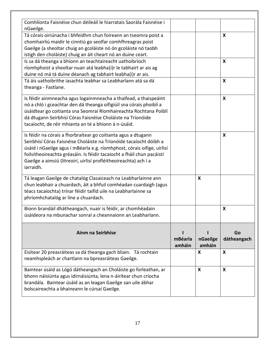| Comhlíonta Faisnéise chun déileáil le hiarratais Saorála Faisnéise i<br>nGaeilge.                                                                                                                                                                                                                                                                                           |                   |                           |                           |
|-----------------------------------------------------------------------------------------------------------------------------------------------------------------------------------------------------------------------------------------------------------------------------------------------------------------------------------------------------------------------------|-------------------|---------------------------|---------------------------|
| Tá córais oiriúnacha i bhfeidhm chun foireann an tseomra poist a<br>chomhairliú maidir le cinntiú go seolfar comhfhreagras poist<br>Gaeilge (a sheoltar chuig an gcoláiste nó ón gcoláiste nó taobh<br>istigh den choláiste) chuig an áit cheart nó an duine ceart.                                                                                                         |                   |                           | X                         |
| Is sa dá theanga a bhíonn an teachtaireacht uathoibríoch<br>ríomhphoist a sheoltar nuair atá leabha(i)r le tabhairt ar ais ag<br>duine nó má tá duine déanach ag tabhairt leabha(i)r ar ais.                                                                                                                                                                                |                   |                           | X                         |
| Tá áis uathoibrithe iasachta leabhar sa Leabharlann atá sa dá<br>theanga - Fastlane.                                                                                                                                                                                                                                                                                        |                   |                           | $\boldsymbol{\mathsf{X}}$ |
| Is féidir ainmneacha agus logainmneacha a thaifead, a thaispeáint<br>nó a chló i gceachtar den dá theanga oifigiúil sna córais phoiblí a<br>úsáidtear go coitianta sna Seomraí Ríomhaireachta Rochtana Poiblí<br>dá dtugann Seirbhísí Córas Faisnéise Choláiste na Tríonóide<br>tacaíocht, de réir mhianta an té a bhíonn á n-úsáid.                                        |                   |                           | $\boldsymbol{\mathsf{X}}$ |
| Is féidir na córais a fhorbraítear go coitianta agus a dtugann<br>Seirbhísí Córas Faisnéise Choláiste na Tríonóide tacaíocht dóibh a<br>úsáid i nGaeilge agus i mBéarla e.g. ríomhphost, córais oifige, uirlisí<br>foilsitheoireachta gréasáin. Is féidir tacaíocht a fháil chun pacáistí<br>Gaeilge a aimsiú (litreoirí, uirlisí profléitheoireachta) ach í a<br>iarraidh. |                   |                           | X                         |
| Tá leagan Gaeilge de chatalóg Clasaiceach na Leabharlainne ann<br>chun leabhair a chuardach, áit a bhfuil comhéadan cuardaigh (agus<br>téacs tacaíochta) trínar féidir taifid uile na Leabharlainne sa<br>phríomhchatalóg ar líne a chuardach.                                                                                                                              |                   | $\boldsymbol{\mathsf{x}}$ |                           |
| Bíonn brandáil dhátheangach, nuair is féidir, ar chomhéadain<br>úsáideora na mbunachar sonraí a cheannaíonn an Leabharlann.                                                                                                                                                                                                                                                 |                   |                           | X                         |
| Ainm na Seirbhíse                                                                                                                                                                                                                                                                                                                                                           | mBéarla<br>amháin | nGaeilge<br>amháin        | Go<br>dátheangach         |
| Eisítear 20 preasráiteas sa dá theanga gach bliain. Tá rochtain<br>neamhspleách ar chartlann na bpreasráiteas Gaeilge.                                                                                                                                                                                                                                                      |                   | $\boldsymbol{\mathsf{X}}$ | $\boldsymbol{\mathsf{x}}$ |
| Baintear úsáid as Lógó dátheangach an Choláiste go forleathan, ar<br>bhonn náisiúnta agus idirnáisiúnta, lena n-áirítear chun críocha<br>brandála. Baintear úsáid as an leagan Gaeilge san uile ábhar<br>bolscaireachta a bhaineann le cúrsaí Gaeilge.                                                                                                                      |                   | X                         | X                         |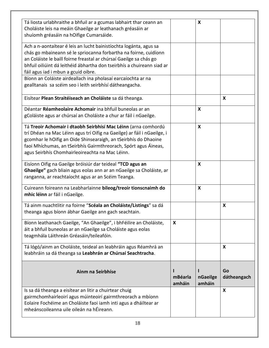| Tá liosta urlabhraithe a bhfuil ar a gcumas labhairt thar ceann an<br>Choláiste leis na meáin Ghaeilge ar leathanach gréasáin ar<br>shuíomh gréasáin na hOifige Cumarsáide.                                                                                                                                                        |                           | X                  |                   |
|------------------------------------------------------------------------------------------------------------------------------------------------------------------------------------------------------------------------------------------------------------------------------------------------------------------------------------|---------------------------|--------------------|-------------------|
| Ach a n-aontaítear é leis an lucht bainistíochta logánta, agus sa<br>chás go mbaineann sé le spriocanna forbartha na foirne, cuidíonn<br>an Coláiste le baill foirne freastal ar chúrsaí Gaeilge sa chás go<br>bhfuil oiliúint dá leithéid ábhartha don tseirbhís a chuireann siad ar<br>fáil agus iad i mbun a gcuid oibre.       |                           |                    |                   |
| Bíonn an Coláiste airdeallach ina pholasaí earcaíochta ar na<br>gealltanais sa scéim seo i leith seirbhísí dátheangacha.                                                                                                                                                                                                           |                           |                    |                   |
| Eisítear Plean Straitéiseach an Choláiste sa dá theanga.                                                                                                                                                                                                                                                                           |                           |                    | X                 |
| Déantar Réamheolaire Achomair ina bhfuil buneolas ar an<br>gColáiste agus ar chúrsaí an Choláiste a chur ar fáil i nGaeilge.                                                                                                                                                                                                       |                           | X                  |                   |
| Tá Treoir Achomair i dtaobh Seirbhísí Mac Léinn (arna comhordú<br>trí Dhéan na Mac Léinn agus trí Oifig na Gaeilge) ar fáil i nGaeilge, i<br>gcomhar le hOifig an Oide Shinsearaigh, an tSeirbhís do Dhaoine<br>faoi Mhíchumas, an tSeirbhís Gairmthreorach, Spórt agus Áineas,<br>agus Seirbhís Chomhairleoireachta na Mac Léinn. |                           | $\boldsymbol{X}$   |                   |
| Eisíonn Oifig na Gaeilge bróisiúr dar teideal "TCD agus an<br>Ghaeilge" gach bliain agus eolas ann ar an nGaeilge sa Choláiste, ar<br>ranganna, ar reachtaíocht agus ar an Scéim Teanga.                                                                                                                                           |                           | X                  |                   |
| Cuireann foireann na Leabharlainne bileog/treoir tionscnaimh do<br>mhic léinn ar fáil i nGaeilge.                                                                                                                                                                                                                                  |                           | X                  |                   |
| Tá ainm nuachtlitir na foirne "Scéala an Choláiste/Listings" sa dá<br>theanga agus bíonn ábhar Gaeilge ann gach seachtain.                                                                                                                                                                                                         |                           |                    | X                 |
| Bíonn leathanach Gaeilge, "An Ghaeilge", i bhFéilire an Choláiste,<br>áit a bhfuil buneolas ar an nGaeilge sa Choláiste agus eolas<br>teagmhála Láithreán Gréasáin/teileafóin.                                                                                                                                                     | $\boldsymbol{\mathsf{X}}$ |                    |                   |
| Tá lógó/ainm an Choláiste, teideal an leabhráin agus Réamhrá an<br>leabhráin sa dá theanga sa Leabhrán ar Chúrsaí Seachtracha.                                                                                                                                                                                                     |                           |                    | X                 |
| Ainm na Seirbhíse                                                                                                                                                                                                                                                                                                                  | mBéarla<br>amháin         | nGaeilge<br>amháin | Go<br>dátheangach |
| Is sa dá theanga a eisítear an litir a chuirtear chuig<br>gairmchomhairleoirí agus múinteoirí gairmthreorach a mbíonn<br>Eolaire Fochéime an Choláiste faoi iamh inti agus a dháiltear ar<br>mheánscoileanna uile oileán na hÉireann.                                                                                              |                           |                    | X                 |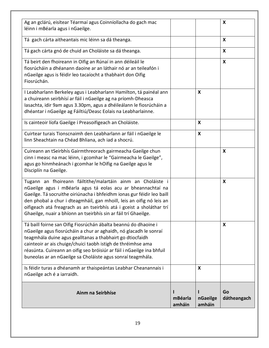| Ainm na Seirbhíse                                                                                                                                                                                                                                                                                                                                                                                                        | mBéarla<br>amháin | nGaeilge<br>amháin        | Go<br>dátheangach         |
|--------------------------------------------------------------------------------------------------------------------------------------------------------------------------------------------------------------------------------------------------------------------------------------------------------------------------------------------------------------------------------------------------------------------------|-------------------|---------------------------|---------------------------|
| Is féidir turas a dhéanamh ar thaispeántas Leabhar Cheanannais i<br>nGaeilge ach é a iarraidh.                                                                                                                                                                                                                                                                                                                           |                   | $\boldsymbol{X}$          |                           |
| Tá baill foirne san Oifig Fiosrúchán ábalta beannú do dhaoine i<br>nGaeilge agus fiosrúcháin a chur ar aghaidh, nó glacadh le sonraí<br>teagmhála duine agus gealltanas a thabhairt go dtiocfaidh<br>cainteoir ar ais chuige/chuici taobh istigh de thréimhse ama<br>réasúnta. Cuireann an oifig seo bróisiúr ar fáil i nGaeilge ina bhfuil<br>buneolas ar an nGaeilge sa Choláiste agus sonraí teagmhála.               |                   |                           | X                         |
| Tugann an fhoireann fáiltithe/malartáin ainm an Choláiste i<br>nGaeilge agus i mBéarla agus tá eolas acu ar bheannachtaí na<br>Gaeilge. Tá socruithe oiriúnacha i bhfeidhm ionas gur féidir leo baill<br>den phobal a chur i dteagmháil, gan mhoill, leis an oifig nó leis an<br>oifigeach atá freagrach as an tseirbhís atá i gceist a sholáthar trí<br>Ghaeilge, nuair a bhíonn an tseirbhís sin ar fáil trí Ghaeilge. |                   |                           | $\boldsymbol{\mathsf{x}}$ |
| Cuireann an tSeirbhís Gairmthreorach gairmeacha Gaeilge chun<br>cinn i measc na mac léinn, i gcomhar le "Gairmeacha le Gaeilge",<br>agus go hinmheánach i gcomhar le hOifig na Gaeilge agus le<br>Disciplín na Gaeilge.                                                                                                                                                                                                  |                   |                           | X                         |
| Cuirtear turais Tionscnaimh den Leabharlann ar fáil i nGaeilge le<br>linn Sheachtain na Chéad Bhliana, ach iad a shocrú.                                                                                                                                                                                                                                                                                                 |                   | $\boldsymbol{\mathsf{X}}$ |                           |
| Is cainteoir líofa Gaeilge í Preasoifigeach an Choláiste.                                                                                                                                                                                                                                                                                                                                                                |                   | $\boldsymbol{\mathsf{X}}$ |                           |
| I Leabharlann Berkeley agus i Leabharlann Hamilton, tá painéal ann<br>a chuireann seirbhísí ar fáil i nGaeilge ag na príomh-Dheasca<br>Iasachta, idir 9am agus 3.30pm, agus a dhéileálann le fiosrúcháin a<br>dhéantar i nGaeilge ag Fáiltiú/Deasc Eolais na Leabharlainne.                                                                                                                                              |                   | X                         |                           |
| Tá beirt den fhoireann in Oifig an Rúnaí in ann déileáil le<br>fiosrúcháin a dhéanann daoine ar an láthair nó ar an teileafón i<br>nGaeilge agus is féidir leo tacaíocht a thabhairt don Oifig<br>Fiosrúchán.                                                                                                                                                                                                            |                   |                           | $\boldsymbol{\mathsf{X}}$ |
| Tá gach cárta gnó de chuid an Choláiste sa dá theanga.                                                                                                                                                                                                                                                                                                                                                                   |                   |                           | $\boldsymbol{X}$          |
| Tá gach cárta aitheantais mic léinn sa dá theanga.                                                                                                                                                                                                                                                                                                                                                                       |                   |                           | $\boldsymbol{\mathsf{X}}$ |
| Ag an gclárú, eisítear Téarmaí agus Coinníollacha do gach mac<br>léinn i mBéarla agus i nGaeilge.                                                                                                                                                                                                                                                                                                                        |                   |                           | X                         |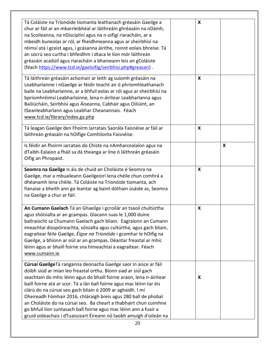| Tá Coláiste na Tríonóide tiomanta leathanach gréasáin Gaeilge a<br>chur ar fáil ar an mbarrleibhéal ar láithreáin ghréasáin na nDámh,<br>na Scoileanna, na nDisciplíní agus na n-oifigí riaracháin, ar a<br>mbeidh buneolas ar ról, ar fheidhmeanna agus ar sheirbhísí na<br>réimsí atá i gceist agus, i gcásanna áirithe, roinnt eolais bhreise. Tá<br>an socrú seo curtha i bhfeidhm i dtaca le líon mór láithreán<br>gréasáin acadúil agus riaracháin a bhaineann leis an gColáiste<br>(féach https://www.tcd.ie/gaeloifig/seirbhisi.php#greasan).                                                                                 | X                         |   |
|---------------------------------------------------------------------------------------------------------------------------------------------------------------------------------------------------------------------------------------------------------------------------------------------------------------------------------------------------------------------------------------------------------------------------------------------------------------------------------------------------------------------------------------------------------------------------------------------------------------------------------------|---------------------------|---|
| Tá láithreán gréasáin achomair ar leith ag suíomh gréasáin na<br>Leabharlainne i nGaeilge ar féidir teacht air ó phríomhleathanach<br>baile na Leabharlainne, ar a bhfuil eolas ar ról agus ar sheirbhísí na<br>bpríomhréimsí Leabharlainne, lena n-áirítear Leabharlanna agus<br>Bailiúcháin, Seirbhísí agus Áiseanna, Cabhair agus Oiliúint, an<br>tSeanleabharlann agus Leabhar Cheanannais. Féach<br>www.tcd.ie/library/index.ga.php                                                                                                                                                                                              | $\boldsymbol{X}$          |   |
| Tá leagan Gaeilge den Fhoirm Iarratais Saorála Faisnéise ar fáil ar<br>láithreán gréasáin na hOifige Comhlíonta Faisnéise.                                                                                                                                                                                                                                                                                                                                                                                                                                                                                                            | $\boldsymbol{\mathsf{X}}$ |   |
| Is féidir an fhoirm iarratais do Chiste na nAmharcealaíon agus na<br>dTaibh-Ealaíon a fháil sa dá theanga ar líne ó láithreán gréasáin<br>Oifig an Phropaist.                                                                                                                                                                                                                                                                                                                                                                                                                                                                         |                           | X |
| Seomra na Gaeilge Is áis de chuid an Choláiste é Seomra na<br>Gaeilge, mar a mbuaileann Gaeilgeoirí lena chéile chun comhrá a<br>dhéanamh lena chéile. Tá Coláiste na Tríonóide tiomanta, ach<br>fianaise a bheith ann go leantar ag baint dóthain úsáide as, Seomra<br>na Gaeilge a chur ar fáil.                                                                                                                                                                                                                                                                                                                                    | $\boldsymbol{\mathsf{X}}$ |   |
| An Cumann Gaelach Tá an Ghaeilge i gcroílár an tsaoil chultúrtha<br>agus shóisialta ar an gcampas. Glacann suas le 1,000 duine<br>ballraíocht sa Chumann Gaelach gach bliain. Eagraíonn an Cumann<br>imeachtaí díospóireachta, sóisialta agus cultúrtha, agus gach bliain,<br>eagraítear féile Gaeilge, Éigse na Tríonóide i gcomhar le hOifig na<br>Gaeilge, a bhíonn ar siúl ar an gcampas. Déantar freastal ar mhic<br>léinn agus ar bhaill foirne sna himeachtaí a eagraítear. Féach<br>www.cumann.ie                                                                                                                             | X                         |   |
| Cúrsaí Gaeilge Tá ranganna deonacha Gaeilge saor in aisce ar fáil<br>dóibh siúd ar mian leo freastal orthu. Bíonn siad ar siúl gach<br>seachtain do mhic léinn agus do bhaill foirne araon, lena n-áirítear<br>baill foirne atá ar scor. Tá a lán ball foirne agus mac léinn tar éis<br>clárú do na cúrsaí seo gach bliain ó 2009 ar aghaidh. I mí<br>Dheireadh Fómhair 2016, chláraigh breis agus 280 ball de phobal<br>an Choláiste do na cúrsaí seo. Ba cheart a thabhairt chun cuimhne<br>go bhfuil líon suntasach ball foirne agus mac léinn ann a fuair a<br>gcuid oideachais i dTuaisceart Éireann nó taobh amuigh d'oileán na | X                         |   |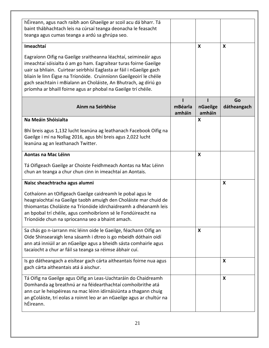| hÉireann, agus nach raibh aon Ghaeilge ar scoil acu dá bharr. Tá<br>baint thábhachtach leis na cúrsaí teanga deonacha le feasacht<br>teanga agus cumas teanga a ardú sa ghrúpa seo.                                                                                                                                                                                                                                       |                   |                    |                           |
|---------------------------------------------------------------------------------------------------------------------------------------------------------------------------------------------------------------------------------------------------------------------------------------------------------------------------------------------------------------------------------------------------------------------------|-------------------|--------------------|---------------------------|
| Imeachtaí                                                                                                                                                                                                                                                                                                                                                                                                                 |                   | X                  | $\boldsymbol{\mathsf{X}}$ |
| Eagraíonn Oifig na Gaeilge sraitheanna léachtaí, seimineáir agus<br>imeachtaí sóisialta ó am go ham. Eagraítear turas foirne Gaeilge<br>uair sa bhliain. Cuirtear seirbhísí Eaglasta ar fáil i nGaeilge gach<br>bliain le linn Éigse na Tríonóide. Cruinníonn Gaeilgeoirí le chéile<br>gach seachtain i mBialann an Choláiste, An Bhutrach, ag díriú go<br>príomha ar bhaill foirne agus ar phobal na Gaeilge trí chéile. |                   |                    |                           |
| Ainm na Seirbhíse                                                                                                                                                                                                                                                                                                                                                                                                         | mBéarla<br>amháin | nGaeilge<br>amháin | Go<br>dátheangach         |
| Na Meáin Shóisialta                                                                                                                                                                                                                                                                                                                                                                                                       |                   | X                  |                           |
| Bhí breis agus 1,132 lucht leanúna ag leathanach Facebook Oifig na<br>Gaeilge i mí na Nollag 2016, agus bhí breis agus 2,022 lucht<br>leanúna ag an leathanach Twitter.                                                                                                                                                                                                                                                   |                   |                    |                           |
| Aontas na Mac Léinn                                                                                                                                                                                                                                                                                                                                                                                                       |                   | X                  |                           |
| Tá Oifigeach Gaeilge ar Choiste Feidhmeach Aontas na Mac Léinn<br>chun an teanga a chur chun cinn in imeachtaí an Aontais.                                                                                                                                                                                                                                                                                                |                   |                    |                           |
| Naisc sheachtracha agus alumni                                                                                                                                                                                                                                                                                                                                                                                            |                   |                    | $\boldsymbol{\mathsf{X}}$ |
| Cothaíonn an tOifigeach Gaeilge caidreamh le pobal agus le<br>heagraíochtaí na Gaeilge taobh amuigh den Choláiste mar chuid de<br>thiomantas Choláiste na Tríonóide idirchaidreamh a dhéanamh leis<br>an bpobal trí chéile, agus comhoibríonn sé le Fondúireacht na<br>Tríonóide chun na spriocanna seo a bhaint amach.                                                                                                   |                   |                    |                           |
| Sa chás go n-iarrann mic léinn oide le Gaeilge, féachann Oifig an<br>Oide Shinsearaigh lena sásamh i dtreo is go mbeidh dóthain oidí<br>ann atá inniúil ar an nGaeilge agus a bheidh sásta comhairle agus<br>tacaíocht a chur ar fáil sa teanga sa réimse ábhair cuí.                                                                                                                                                     |                   | X                  |                           |
| Is go dátheangach a eisítear gach cárta aitheantais foirne nua agus<br>gach cárta aitheantais atá á aischur.                                                                                                                                                                                                                                                                                                              |                   |                    | $\boldsymbol{\mathsf{X}}$ |
| Tá Oifig na Gaeilge agus Oifig an Leas-Uachtaráin do Chaidreamh<br>Domhanda ag breathnú ar na féidearthachtaí comhoibrithe atá<br>ann cur le heispéireas na mac léinn idirnáisiúnta a thagann chuig<br>an gColáiste, trí eolas a roinnt leo ar an nGaeilge agus ar chultúr na<br>hÉireann.                                                                                                                                |                   |                    | $\boldsymbol{\mathsf{X}}$ |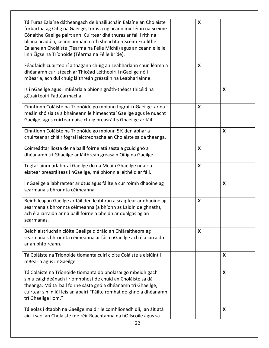| Tá Turas Ealaíne dátheangach de Bhailiúcháin Ealaíne an Choláiste<br>forbartha ag Oifig na Gaeilge, turas a nglacann mic léinn na Scéime<br>Cónaithe Gaeilge páirt ann. Cuirtear dhá thuras ar fáil i rith na<br>bliana acadúla, ceann amháin i rith sheachtain Scéim Fruilithe<br>Ealaíne an Choláiste (Téarma na Féile Michíl) agus an ceann eile le<br>linn Éigse na Tríonóide (Téarma na Féile Bríde). | X                         |   |
|------------------------------------------------------------------------------------------------------------------------------------------------------------------------------------------------------------------------------------------------------------------------------------------------------------------------------------------------------------------------------------------------------------|---------------------------|---|
| Féadfaidh cuairteoirí a thagann chuig an Leabharlann chun léamh a<br>dhéanamh cur isteach ar Thicéad Léitheoirí i nGaeilge nó i<br>mBéarla, ach dul chuig láithreán gréasáin na Leabharlainne.                                                                                                                                                                                                             | X                         |   |
| Is i nGaeilge agus i mBéarla a bhíonn gnáth-théacs thicéid na<br>gCuairteoirí Fadtéarmacha.                                                                                                                                                                                                                                                                                                                |                           | X |
| Cinntíonn Coláiste na Tríonóide go mbíonn fógraí i nGaeilge ar na<br>meáin shóisialta a bhaineann le himeachtaí Gaeilge agus le nuacht<br>Gaeilge, agus cuirtear naisc chuig preasráitis Ghaeilge ar fáil.                                                                                                                                                                                                 | X                         |   |
| Cinntíonn Coláiste na Tríonóide go mbíonn 5% den ábhar a<br>chuirtear ar chláir fógraí leictreonacha an Choláiste sa dá theanga.                                                                                                                                                                                                                                                                           |                           | X |
| Coimeádtar liosta de na baill foirne atá sásta a gcuid gnó a<br>dhéanamh trí Ghaeilge ar láithreán gréasáin Oifig na Gaeilge.                                                                                                                                                                                                                                                                              | X                         |   |
| Tugtar ainm urlabhraí Gaeilge do na Meáin Ghaeilge nuair a<br>eisítear preasráiteas i nGaeilge, má bhíonn a leithéid ar fáil.                                                                                                                                                                                                                                                                              | X                         |   |
| I nGaeilge a labhraítear ar dtús agus fáilte á cur roimh dhaoine ag<br>searmanais bhronnta céimeanna.                                                                                                                                                                                                                                                                                                      |                           | X |
| Beidh leagan Gaeilge ar fáil den leabhrán a scaipfear ar dhaoine ag<br>searmanais bhronnta céimeanna (a bhíonn as Laidin de ghnáth),<br>ach é a iarraidh ar na baill foirne a bheidh ar dualgas ag an<br>searmanas.                                                                                                                                                                                        | $\boldsymbol{\mathsf{X}}$ |   |
| Beidh aistriúchán clóite Gaeilge d'óráid an Chláraitheora ag<br>searmanais bhronnta céimeanna ar fáil i nGaeilge ach é a iarraidh<br>ar an bhfoireann.                                                                                                                                                                                                                                                     | X                         |   |
| Tá Coláiste na Tríonóide tiomanta cuirí clóite Coláiste a eisiúint i<br>mBéarla agus i nGaeilge.                                                                                                                                                                                                                                                                                                           |                           | X |
| Tá Coláiste na Tríonóide tiomanta do pholasaí go mbeidh gach<br>síniú caighdeánach i ríomhphost de chuid an Choláiste sa dá<br>theanga. Má tá ball foirne sásta gnó a dhéanamh trí Ghaeilge,<br>cuirtear sin in iúl leis an abairt "Fáilte romhat do ghnó a dhéanamh<br>trí Ghaeilge liom."                                                                                                                |                           | X |
| Tá eolas i dtaobh na Gaeilge maidir le comhlíonadh dlí, an áit atá<br>aici i saol an Choláiste (de réir Reachtanna na hOllscoile agus sa                                                                                                                                                                                                                                                                   |                           | X |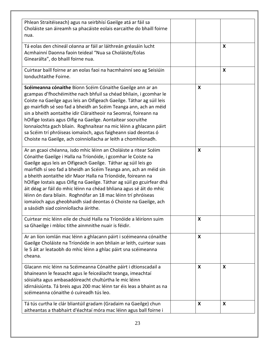| Phlean Straitéiseach) agus na seirbhísí Gaeilge atá ar fáil sa<br>Choláiste san áireamh sa phacáiste eolais earcaithe do bhaill foirne<br>nua.                                                                                                                                                                                                                                                                                                                                                                                                                                                                                                                         |                           |                           |
|------------------------------------------------------------------------------------------------------------------------------------------------------------------------------------------------------------------------------------------------------------------------------------------------------------------------------------------------------------------------------------------------------------------------------------------------------------------------------------------------------------------------------------------------------------------------------------------------------------------------------------------------------------------------|---------------------------|---------------------------|
| Tá eolas den chineál céanna ar fáil ar láithreán gréasáin lucht<br>Acmhainní Daonna faoin teideal "Nua sa Choláiste/Eolas<br>Ginearálta", do bhaill foirne nua.                                                                                                                                                                                                                                                                                                                                                                                                                                                                                                        |                           | $\boldsymbol{\mathsf{X}}$ |
| Cuirtear baill foirne ar an eolas faoi na hacmhainní seo ag Seisiúin<br>Ionduchtaithe Foirne.                                                                                                                                                                                                                                                                                                                                                                                                                                                                                                                                                                          |                           | $\boldsymbol{\mathsf{X}}$ |
| Scéimeanna cónaithe Bíonn Scéim Cónaithe Gaeilge ann ar an<br>gcampas d'fhochéimithe nach bhfuil sa chéad bhliain, i gcomhar le<br>Coiste na Gaeilge agus leis an Oifigeach Gaeilge. Táthar ag súil leis<br>go mairfidh sé seo fad a bheidh an Scéim Teanga ann, ach an méid<br>sin a bheith aontaithe idir Cláraitheoir na Seomraí, foireann na<br>hOifige Iostais agus Oifig na Gaeilge. Aontaítear socruithe<br>lonnaíochta gach bliain. Roghnaítear na mic léinn a ghlacann páirt<br>sa Scéim trí phróiseas iomaíoch, agus faigheann siad deontas ó<br>Choiste na Gaeilge, ach coinníollacha ar leith a chomhlíonadh.                                              | $\boldsymbol{X}$          |                           |
| Ar an gcaoi chéanna, isdo mhic léinn an Choláiste a ritear Scéim<br>Cónaithe Gaeilge i Halla na Tríonóide, i gcomhar le Coiste na<br>Gaeilge agus leis an Oifigeach Gaeilge. Táthar ag súil leis go<br>mairfidh sí seo fad a bheidh an Scéim Teanga ann, ach an méid sin<br>a bheith aontaithe idir Maor Halla na Tríonóide, foireann na<br>hOifige Iostais agus Oifig na Gaeilge. Táthar ag súil go gcuirfear dhá<br>áit déag ar fáil do mhic léinn na chéad bhliana agus sé áit do mhic<br>léinn ón dara bliain. Roghnófar an 18 mac léinn trí phróiseas<br>iomaíoch agus gheobhaidh siad deontas ó Choiste na Gaeilge, ach<br>a sásóidh siad coinníollacha áirithe. | X                         |                           |
| Cuirtear mic léinn eile de chuid Halla na Tríonóide a léiríonn suim<br>sa Ghaeilge i mbloc tithe ainmnithe nuair is féidir.                                                                                                                                                                                                                                                                                                                                                                                                                                                                                                                                            | $\boldsymbol{\mathsf{X}}$ |                           |
| Ar an líon iomlán mac léinn a ghlacann páirt i scéimeanna cónaithe<br>Gaeilge Choláiste na Tríonóide in aon bhliain ar leith, cuirtear suas<br>le 5 áit ar leataobh do mhic léinn a ghlac páirt sna scéimeanna<br>cheana.                                                                                                                                                                                                                                                                                                                                                                                                                                              | X                         |                           |
| Glacann mic léinn na Scéimeanna Cónaithe páirt i dtionscadail a<br>bhaineann le feasacht agus le feiceálacht teanga, imeachtaí<br>sóisialta agus ambasadóireacht chultúrtha le mic léinn<br>idirnáisiúnta. Tá breis agus 200 mac léinn tar éis leas a bhaint as na<br>scéimeanna cónaithe ó cuireadh tús leo.                                                                                                                                                                                                                                                                                                                                                          | $\boldsymbol{X}$          | $\boldsymbol{\mathsf{X}}$ |
| Tá tús curtha le clár bliantúil gradam (Gradaim na Gaeilge) chun<br>aitheantas a thabhairt d'éachtaí móra mac léinn agus ball foirne i                                                                                                                                                                                                                                                                                                                                                                                                                                                                                                                                 | $\boldsymbol{X}$          | $\boldsymbol{\mathsf{X}}$ |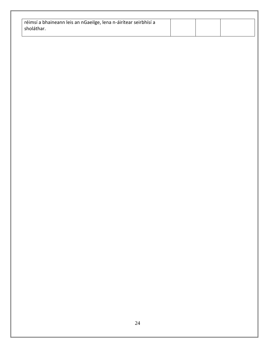| réimsí a bhaineann leis an nGaeilge, lena n-áirítear seirbhísí a |  |  |
|------------------------------------------------------------------|--|--|
| sholáthar.                                                       |  |  |
|                                                                  |  |  |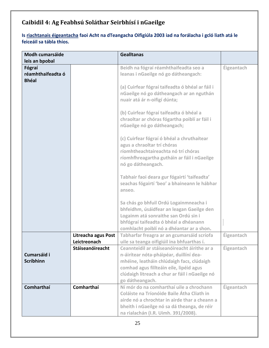## **Caibidil 4: Ag Feabhsú Soláthar Seirbhísí i nGaeilge**

#### **Is riachtanais éigeantacha faoi Acht na dTeangacha Oifigiúla 2003 iad na forálacha i gcló liath atá le feiceáil sa tábla thíos.**

| <b>Modh cumarsáide</b>                      |                     | <b>Gealltanas</b>                                                                                                                                                                                                 |                   |
|---------------------------------------------|---------------------|-------------------------------------------------------------------------------------------------------------------------------------------------------------------------------------------------------------------|-------------------|
| leis an bpobal                              |                     |                                                                                                                                                                                                                   |                   |
| Fógraí<br>réamhthaifeadta ó<br><b>Bhéal</b> |                     | Beidh na fógraí réamhthaifeadta seo a<br>leanas i nGaeilge nó go dátheangach:                                                                                                                                     | Éigeantach        |
|                                             |                     | (a) Cuirfear fógraí taifeadta ó bhéal ar fáil i<br>nGaeilge nó go dátheangach ar an nguthán<br>nuair atá ár n-oifigí dúnta;                                                                                       |                   |
|                                             |                     | (b) Cuirfear fógraí taifeadta ó bhéal a<br>chraoltar ar chóras fógartha poiblí ar fáil i<br>nGaeilge nó go dátheangach;                                                                                           |                   |
|                                             |                     | (c) Cuirfear fógraí ó bhéal a chruthaítear<br>agus a chraoltar trí chóras<br>ríomhtheachtaireachta nó trí chóras<br>ríomhfhreagartha gutháin ar fáil i nGaeilge<br>nó go dátheangach.                             |                   |
|                                             |                     | Tabhair faoi deara gur fógairtí 'taifeadta'<br>seachas fógairtí 'beo' a bhaineann le hábhar<br>anseo.                                                                                                             |                   |
|                                             |                     | Sa chás go bhfuil Ordú Logainmneacha i<br>bhfeidhm, úsáidfear an leagan Gaeilge den<br>Logainm atá sonraithe san Ordú sin i<br>bhfógraí taifeadta ó bhéal a dhéanann<br>comhlacht poiblí nó a dhéantar ar a shon. |                   |
|                                             | Litreacha agus Post | Tabharfar freagra ar an gcumarsáid scríofa                                                                                                                                                                        | <b>Éigeantach</b> |
|                                             | Leictreonach        | uile sa teanga oifigiúil ina bhfuarthas í.                                                                                                                                                                        |                   |
| Cumarsáid i                                 | Stáiseanóireacht    | Ceannteidil ar stáiseanóireacht áirithe ar a<br>n-áirítear nóta-pháipéar, duillíní dea-                                                                                                                           | Éigeantach        |
| <b>Scríbhinn</b>                            |                     | mhéine, leatháin chlúdaigh facs, clúdaigh                                                                                                                                                                         |                   |
|                                             |                     | comhad agus fillteáin eile, lipéid agus                                                                                                                                                                           |                   |
|                                             |                     | clúdaigh litreach a chur ar fáil i nGaeilge nó                                                                                                                                                                    |                   |
| <b>Comharthaí</b>                           | Comharthaí          | go dátheangach.<br>Ní mór do na comharthaí uile a chrochann                                                                                                                                                       | Éigeantach        |
|                                             |                     | Coláiste na Tríonóide Baile Átha Cliath in                                                                                                                                                                        |                   |
|                                             |                     | airde nó a chrochtar in airde thar a cheann a                                                                                                                                                                     |                   |
|                                             |                     | bheith i nGaeilge nó sa dá theanga, de réir                                                                                                                                                                       |                   |
|                                             |                     | na rialachán (I.R. Uimh. 391/2008).                                                                                                                                                                               |                   |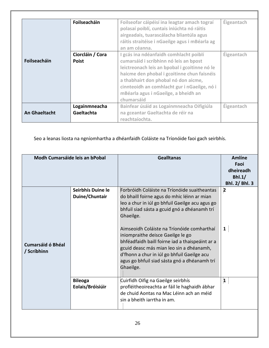|                      | Foilseacháin     | Foilseofar cáipéisí ina leagtar amach tograí<br>polasaí poiblí, cuntais iniúchta nó ráitis<br>airgeadais, tuarascálacha bliantúla agus<br>ráitis straitéise i nGaeilge agus i mBéarla ag<br>an am céanna. | Éigeantach        |
|----------------------|------------------|-----------------------------------------------------------------------------------------------------------------------------------------------------------------------------------------------------------|-------------------|
|                      | Ciorcláin / Cora | I gcás ina ndéanfaidh comhlacht poiblí                                                                                                                                                                    | <b>Éigeantach</b> |
| <b>Foilseacháin</b>  | <b>Poist</b>     | cumarsáid i scríbhinn nó leis an bpost                                                                                                                                                                    |                   |
|                      |                  | leictreonach leis an bpobal i gcoitinne nó le                                                                                                                                                             |                   |
|                      |                  | haicme den phobal i gcoitinne chun faisnéis                                                                                                                                                               |                   |
|                      |                  | a thabhairt don phobal nó don aicme,                                                                                                                                                                      |                   |
|                      |                  | cinnteoidh an comhlacht gur i nGaeilge, nó i                                                                                                                                                              |                   |
|                      |                  | mBéarla agus i nGaeilge, a bheidh an                                                                                                                                                                      |                   |
|                      |                  | chumarsáid                                                                                                                                                                                                |                   |
|                      | Logainmneacha    | Bainfear úsáid as Logainmneacha Oifigiúla                                                                                                                                                                 | Éigeantach        |
| <b>An Ghaeltacht</b> | Gaeltachta       | na gceantar Gaeltachta de réir na                                                                                                                                                                         |                   |
|                      |                  | reachtaíochta.                                                                                                                                                                                            |                   |

Seo a leanas liosta na ngníomhartha a dhéanfaidh Coláiste na Tríonóide faoi gach seirbhís.

| Modh Cumarsáide leis an bPobal          |                                    | <b>Gealltanas</b>                                                                                                                                                                                                                                                                                                                                                                                          | Amlíne<br>Faoi<br>dheireadh<br>Bhl.1/<br>Bhl. 2/ Bhl. 3 |
|-----------------------------------------|------------------------------------|------------------------------------------------------------------------------------------------------------------------------------------------------------------------------------------------------------------------------------------------------------------------------------------------------------------------------------------------------------------------------------------------------------|---------------------------------------------------------|
|                                         | Seirbhís Duine le                  | Forbróidh Coláiste na Tríonóide suaitheantas                                                                                                                                                                                                                                                                                                                                                               | $\overline{2}$                                          |
|                                         | Duine/Chuntair                     | do bhaill foirne agus do mhic léinn ar mian                                                                                                                                                                                                                                                                                                                                                                |                                                         |
| <b>Cumarsáid ó Bhéal</b><br>/ Scríbhinn |                                    | leo a chur in iúl go bhfuil Gaeilge acu agus go<br>bhfuil siad sásta a gcuid gnó a dhéanamh trí<br>Ghaeilge.<br>Aimseoidh Coláiste na Tríonóide comharthaí<br>iniompraithe deisce Gaeilge le go<br>bhféadfaidh baill foirne iad a thaispeáint ar a<br>gcuid deasc más mian leo sin a dhéanamh,<br>d'fhonn a chur in iúl go bhfuil Gaeilge acu<br>agus go bhfuil siad sásta gnó a dhéanamh trí<br>Ghaeilge. | $\mathbf{1}$                                            |
|                                         | <b>Bileoga</b><br>Eolais/Bróisiúir | Cuirfidh Oifig na Gaeilge seirbhís<br>profléitheoireachta ar fáil le haghaidh ábhar<br>de chuid Aontas na Mac Léinn ach an méid<br>sin a bheith iarrtha in am.                                                                                                                                                                                                                                             | $\mathbf{1}$                                            |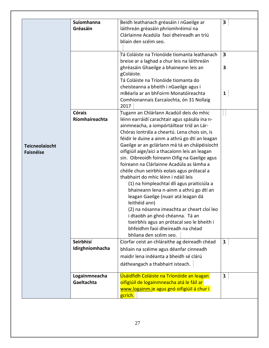|                                           | Suíomhanna<br>Gréasáin          | Beidh leathanach gréasáin i nGaeilge ar<br>láithreán gréasáin phríomhréimsí na<br>Clárlainne Acadúla faoi dheireadh an tríú<br>bliain den scéim seo.                                                                                                                                                                                                                                                                                                                                                                                                                                                                                                                                                                                                                                                                                                                              | $\overline{\mathbf{3}}$                      |
|-------------------------------------------|---------------------------------|-----------------------------------------------------------------------------------------------------------------------------------------------------------------------------------------------------------------------------------------------------------------------------------------------------------------------------------------------------------------------------------------------------------------------------------------------------------------------------------------------------------------------------------------------------------------------------------------------------------------------------------------------------------------------------------------------------------------------------------------------------------------------------------------------------------------------------------------------------------------------------------|----------------------------------------------|
|                                           |                                 | Tá Coláiste na Tríonóide tiomanta leathanach<br>breise ar a laghad a chur leis na láithreáin<br>ghréasáin Ghaeilge a bhaineann leis an<br>gColáiste.<br>Tá Coláiste na Tríonóide tiomanta do<br>cheisteanna a bheith i nGaeilge agus i<br>mBéarla ar an bhFoirm Monatóireachta<br>Comhionannais Earcaíochta, ón 31 Nollaig<br>2017                                                                                                                                                                                                                                                                                                                                                                                                                                                                                                                                                | $\overline{\mathbf{3}}$<br>3<br>$\mathbf{1}$ |
| <b>Teicneolaíocht</b><br><b>Faisnéise</b> | <b>Córais</b><br>Ríomhaireachta | Tugann an Chlárlann Acadúil deis do mhic<br>léinn earráidí carachtair agus spásála ina n-<br>ainmneacha, a iompórtáiltear tríd an Lár-<br>Chóras Iontrála a cheartú. Lena chois sin, is<br>féidir le duine a ainm a athrú go dtí an leagan<br>Gaeilge ar an gclárlann má tá an cháipéisíocht<br>oifigiúil aige/aici a thacaíonn leis an leagan<br>sin. Oibreoidh foireann Oifig na Gaeilge agus<br>foireann na Clárlainne Acadúla as lámha a<br>chéile chun seirbhís eolais agus prótacal a<br>thabhairt do mhic léinn i ndáil leis<br>(1) na himpleachtaí dlí agus praiticiúla a<br>bhaineann lena n-ainm a athrú go dtí an<br>leagan Gaeilge (nuair atá leagan dá<br>leithéid ann)<br>(2) na nósanna imeachta ar cheart cloí leo<br>i dtaobh an ghnó chéanna. Tá an<br>tseirbhís agus an prótacal seo le bheith i<br>bhfeidhm faoi dheireadh na chéad<br>bhliana den scéim seo. |                                              |
|                                           | Seirbhísí<br>Idirghníomhacha    | Cíorfar ceist an chláraithe ag deireadh chéad<br>bhliain na scéime agus déanfar cinneadh<br>maidir lena indéanta a bheidh sé clárú<br>dátheangach a thabhairt isteach.                                                                                                                                                                                                                                                                                                                                                                                                                                                                                                                                                                                                                                                                                                            | $\mathbf{1}$                                 |
|                                           | Logainmneacha<br>Gaeltachta     | Úsáidfidh Coláiste na Tríonóide an leagan<br>oifigiúil de logainmneacha atá le fáil ar<br>www.logainm.ie agus gnó oifigiúil á chur i<br>gcrích.                                                                                                                                                                                                                                                                                                                                                                                                                                                                                                                                                                                                                                                                                                                                   | $\mathbf{1}$                                 |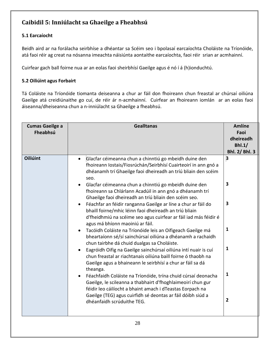## **Caibidil 5: Inniúlacht sa Ghaeilge a Fheabhsú**

#### **5.1 Earcaíocht**

Beidh aird ar na forálacha seirbhíse a dhéantar sa Scéim seo i bpolasaí earcaíochta Choláiste na Tríonóide, atá faoi réir ag creat na nósanna imeachta náisiúnta aontaithe earcaíochta, faoi réir srian ar acmhainní.

Cuirfear gach ball foirne nua ar an eolas faoi sheirbhísí Gaeilge agus é nó í á (h)ionduchtú.

#### **5.2 Oiliúint agus Forbairt**

Tá Coláiste na Tríonóide tiomanta deiseanna a chur ar fáil don fhoireann chun freastal ar chúrsaí oiliúna Gaeilge atá creidiúnaithe go cuí, de réir ár n-acmhainní. Cuirfear an fhoireann iomlán ar an eolas faoi áiseanna/dheiseanna chun a n-inniúlacht sa Ghaeilge a fheabhsú.

| <b>Cumas Gaeilge a</b><br>Fheabhsú | <b>Gealltanas</b>                                                                                                                                                                                                                                                                                                                                                                                                                                                                                                                                                                                                                                                                                                                                                                                                                                                                                                                                                                                                                                                                                                                                                                                                                                                                                                  | <b>Amlíne</b><br>Faoi<br>dheireadh<br>Bhl.1/<br><b>Bhl. 2/ Bhl. 3</b> |
|------------------------------------|--------------------------------------------------------------------------------------------------------------------------------------------------------------------------------------------------------------------------------------------------------------------------------------------------------------------------------------------------------------------------------------------------------------------------------------------------------------------------------------------------------------------------------------------------------------------------------------------------------------------------------------------------------------------------------------------------------------------------------------------------------------------------------------------------------------------------------------------------------------------------------------------------------------------------------------------------------------------------------------------------------------------------------------------------------------------------------------------------------------------------------------------------------------------------------------------------------------------------------------------------------------------------------------------------------------------|-----------------------------------------------------------------------|
| <b>Oiliúint</b>                    | Glacfar céimeanna chun a chinntiú go mbeidh duine den<br>$\bullet$<br>fhoireann Iostais/Fiosrúchán/Seirbhísí Cuairteoirí in ann gnó a<br>dhéanamh trí Ghaeilge faoi dheireadh an tríú bliain den scéim<br>seo.<br>Glacfar céimeanna chun a chinntiú go mbeidh duine den<br>fhoireann sa Chlárlann Acadúil in ann gnó a dhéanamh trí<br>Ghaeilge faoi dheireadh an tríú bliain den scéim seo.<br>Féachfar an féidir ranganna Gaeilge ar líne a chur ar fáil do<br>bhaill foirne/mhic léinn faoi dheireadh an tríú bliain<br>d'fheidhmiú na scéime seo agus cuirfear ar fáil iad más féidir é<br>agus má bhíonn maoiniú ar fáil.<br>Tacóidh Coláiste na Tríonóide leis an Oifigeach Gaeilge má<br>bheartaíonn sé/sí sainchúrsaí oiliúna a dhéanamh a rachaidh<br>chun tairbhe dá chuid dualgas sa Choláiste.<br>Eagróidh Oifig na Gaeilge sainchúrsaí oiliúna intí nuair is cuí<br>chun freastal ar riachtanais oiliúna baill foirne ó thaobh na<br>Gaeilge agus a bhaineann le seirbhísí a chur ar fáil sa dá<br>theanga.<br>Féachfaidh Coláiste na Tríonóide, trína chuid cúrsaí deonacha<br>Gaeilge, le scileanna a thabhairt d'fhoghlaimeoirí chun gur<br>féidir leo cáilíocht a bhaint amach i dTeastas Eorpach na<br>Gaeilge (TEG) agus cuirfidh sé deontas ar fáil dóibh siúd a<br>dhéanfaidh scrúduithe TEG. | 3<br>3<br>3<br>1<br>1<br>1<br>$\overline{2}$                          |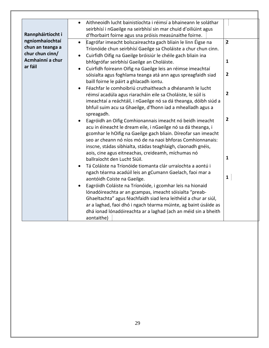| Rannpháirtíocht i                                                          | Aithneoidh lucht bainistíochta i réimsí a bhaineann le soláthar<br>$\bullet$<br>seirbhísí i nGaeilge na seirbhísí sin mar chuid d'oiliúint agus<br>d'fhorbairt foirne agus sna próisis measúnaithe foirne.                                                                                                                                                                      |                                         |
|----------------------------------------------------------------------------|---------------------------------------------------------------------------------------------------------------------------------------------------------------------------------------------------------------------------------------------------------------------------------------------------------------------------------------------------------------------------------|-----------------------------------------|
| ngníomhaíochtaí<br>chun an teanga a<br>chur chun cinn/<br>Acmhainní a chur | Eagrófar imeacht bolscaireachta gach bliain le linn Éigse na<br>Tríonóide chun seirbhísí Gaeilge sa Choláiste a chur chun cinn.<br>Cuirfidh Oifig na Gaeilge bróisiúr le chéile gach bliain ina<br>bhfógrófar seirbhísí Gaeilge an Choláiste.                                                                                                                                   | $\overline{\mathbf{2}}$<br>$\mathbf{1}$ |
| ar fáil                                                                    | Cuirfidh foireann Oifig na Gaeilge leis an réimse imeachtaí<br>$\bullet$<br>sóisialta agus foghlama teanga atá ann agus spreagfaidh siad<br>baill foirne le páirt a ghlacadh iontu.                                                                                                                                                                                             | $\overline{2}$                          |
|                                                                            | Féachfar le comhoibriú cruthaitheach a dhéanamh le lucht<br>$\bullet$<br>réimsí acadúla agus riaracháin eile sa Choláiste, le súil is<br>imeachtaí a reáchtáil, i nGaeilge nó sa dá theanga, dóibh siúd a<br>bhfuil suim acu sa Ghaeilge, d'fhonn iad a mhealladh agus a<br>spreagadh.                                                                                          | $\overline{2}$                          |
|                                                                            | Eagróidh an Oifig Comhionannais imeacht nó beidh imeacht<br>acu in éineacht le dream eile, i nGaeilge nó sa dá theanga, i<br>gcomhar le hOifig na Gaeilge gach bliain. Díreofar san imeacht<br>seo ar cheann nó níos mó de na naoi bhforas Comhionnanais:<br>inscne, stádas sibhialta, stádas teaghlaigh, claonadh gnéis,<br>aois, cine agus eitneachas, creideamh, míchumas nó | $\overline{2}$                          |
|                                                                            | ballraíocht den Lucht Siúil.<br>Tá Coláiste na Tríonóide tiomanta clár urraíochta a aontú i                                                                                                                                                                                                                                                                                     | $\mathbf{1}$                            |
|                                                                            | ngach téarma acadúil leis an gCumann Gaelach, faoi mar a<br>aontóidh Coiste na Gaeilge.                                                                                                                                                                                                                                                                                         | $\mathbf{1}$                            |
|                                                                            | Eagróidh Coláiste na Tríonóide, i gcomhar leis na hionaid<br>lónadóireachta ar an gcampas, imeacht sóisialta "preab-<br>Ghaeltachta" agus féachfaidh siad lena leithéid a chur ar siúl,<br>ar a laghad, faoi dhó i ngach téarma múinte, ag baint úsáide as<br>dhá ionad lónadóireachta ar a laghad (ach an méid sin a bheith<br>aontaithe)                                      |                                         |

٦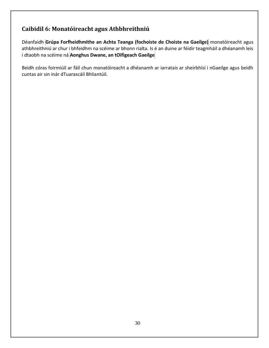### **Caibidil 6: Monatóireacht agus Athbhreithniú**

Déanfaidh **Grúpa Forfheidhmithe an Achta Teanga (fochoiste de Choiste na Gaeilge)** monatóireacht agus athbhreithniú ar chur i bhfeidhm na scéime ar bhonn rialta. Is é an duine ar féidir teagmháil a dhéanamh leis i dtaobh na scéime ná **Aonghus Dwane, an tOifigeach Gaeilge**

Beidh córas foirmiúil ar fáil chun monatóireacht a dhéanamh ar iarratais ar sheirbhísí i nGaeilge agus beidh cuntas air sin inár dTuarascáil Bhliantúil.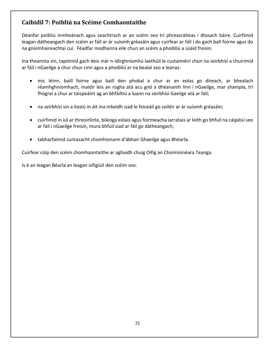## **Caibidil 7: Poibliú na Scéime Comhaontaithe**

Déanfar poibliú inmheánach agus seachtrach ar an scéim seo trí phreasráiteas i dtosach báire. Cuirfimid leagan dátheangach den scéim ar fáil ar ár suíomh gréasáin agus cuirfear ar fáil í do gach ball foirne agus do na gníomhaireachtaí cuí. Féadfar modhanna eile chun an scéim a phoibliú a úsáid freisin.

Ina theannta sin, tapóimid gach deis inár n-idirghníomhú laethúil le custaiméirí chun na seirbhísí a chuirimid ar fáil i nGaeilge a chur chun cinn agus a phoibliú ar na bealaí seo a leanas:

- mic léinn, baill foirne agus baill den phobal a chur ar an eolas go díreach, ar bhealach réamhghníomhach, maidir leis an rogha atá acu gnó a dhéanamh linn i nGaeilge, mar shampla, trí fhógraí a chur ar taispeáint ag an bhfáiltiú a luann na seirbhísí Gaeilge atá ar fáil;
- na seirbhísí sin a liostú in áit ina mbeidh siad le feiceáil go soiléir ar ár suíomh gréasáin;
- cuirfimid in iúl ar threoirlínte, bileoga eolais agus foirmeacha iarratais ar leith go bhfuil na cáipéisí seo ar fáil i nGaeilge freisin, mura bhfuil siad ar fáil go dátheangach;
- tabharfaimid suntasacht chomhionann d'ábhair Ghaeilge agus Bhéarla.

Cuirfear cóip den scéim chomhaontaithe ar aghaidh chuig Oifig an Choimisinéara Teanga.

Is é an leagan Béarla an leagan oifigiúil den scéim seo.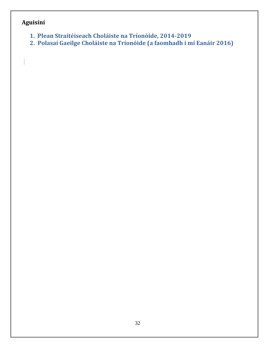## **Aguisíní**

 $\begin{array}{c} \hline \end{array}$ 

- **1. Plean Straitéiseach Choláiste na Tríonóide, 2014-2019**
- **2. Polasaí Gaeilge Choláiste na Tríonóide (a faomhadh i mí Eanáir 2016)**